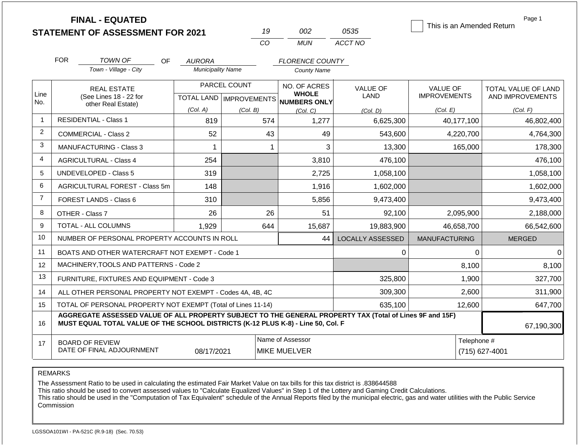|                | <b>FINAL - EQUATED</b><br><b>STATEMENT OF ASSESSMENT FOR 2021</b>                                                                                                                            |                          | 19                                        | 002                                                 | 0535                           | This is an Amended Return              | Page 1                                  |  |
|----------------|----------------------------------------------------------------------------------------------------------------------------------------------------------------------------------------------|--------------------------|-------------------------------------------|-----------------------------------------------------|--------------------------------|----------------------------------------|-----------------------------------------|--|
|                |                                                                                                                                                                                              |                          | CO                                        | <b>MUN</b>                                          | ACCT NO                        |                                        |                                         |  |
|                | <b>FOR</b><br>TOWN OF<br>OF                                                                                                                                                                  | <b>AURORA</b>            |                                           | <b>FLORENCE COUNTY</b>                              |                                |                                        |                                         |  |
|                | Town - Village - City                                                                                                                                                                        | <b>Municipality Name</b> |                                           | <b>County Name</b>                                  |                                |                                        |                                         |  |
| Line<br>No.    | <b>REAL ESTATE</b><br>(See Lines 18 - 22 for                                                                                                                                                 |                          | PARCEL COUNT<br>TOTAL LAND   IMPROVEMENTS | NO. OF ACRES<br><b>WHOLE</b><br><b>NUMBERS ONLY</b> | <b>VALUE OF</b><br><b>LAND</b> | <b>VALUE OF</b><br><b>IMPROVEMENTS</b> | TOTAL VALUE OF LAND<br>AND IMPROVEMENTS |  |
|                | other Real Estate)                                                                                                                                                                           | (Col. A)                 | (Col. B)                                  | (Col, C)                                            | (Col. D)                       | (Col. E)                               | (Col. F)                                |  |
| $\overline{1}$ | <b>RESIDENTIAL - Class 1</b>                                                                                                                                                                 | 819                      | 574                                       | 1,277                                               | 6,625,300                      | 40,177,100                             | 46,802,400                              |  |
| 2              | <b>COMMERCIAL - Class 2</b>                                                                                                                                                                  | 52                       | 43                                        | 49                                                  | 543,600                        | 4,220,700                              | 4,764,300                               |  |
| 3              | <b>MANUFACTURING - Class 3</b>                                                                                                                                                               | $\mathbf 1$              | 1                                         | 3                                                   | 13,300                         | 165,000                                | 178,300                                 |  |
| 4              | <b>AGRICULTURAL - Class 4</b>                                                                                                                                                                | 254                      |                                           | 3,810                                               | 476,100                        |                                        | 476,100                                 |  |
| 5              | <b>UNDEVELOPED - Class 5</b>                                                                                                                                                                 | 319                      |                                           | 2,725                                               | 1,058,100                      |                                        | 1,058,100                               |  |
| 6              | <b>AGRICULTURAL FOREST - Class 5m</b>                                                                                                                                                        | 148                      |                                           | 1,916                                               | 1,602,000                      |                                        | 1,602,000                               |  |
| $\overline{7}$ | FOREST LANDS - Class 6                                                                                                                                                                       | 310                      |                                           | 5,856                                               | 9,473,400                      |                                        | 9,473,400                               |  |
| 8              | OTHER - Class 7                                                                                                                                                                              | 26                       | 26                                        | 51                                                  | 92,100                         | 2,095,900                              | 2,188,000                               |  |
| 9              | <b>TOTAL - ALL COLUMNS</b>                                                                                                                                                                   | 1,929                    | 644                                       | 15,687                                              | 19,883,900                     | 46,658,700                             | 66,542,600                              |  |
| 10             | NUMBER OF PERSONAL PROPERTY ACCOUNTS IN ROLL                                                                                                                                                 |                          |                                           | 44                                                  | <b>LOCALLY ASSESSED</b>        | <b>MANUFACTURING</b>                   | <b>MERGED</b>                           |  |
| 11             | BOATS AND OTHER WATERCRAFT NOT EXEMPT - Code 1                                                                                                                                               |                          |                                           |                                                     | 0                              | $\Omega$                               | $\Omega$                                |  |
| 12             | MACHINERY, TOOLS AND PATTERNS - Code 2                                                                                                                                                       |                          |                                           |                                                     |                                | 8,100                                  | 8,100                                   |  |
| 13             | FURNITURE, FIXTURES AND EQUIPMENT - Code 3                                                                                                                                                   |                          |                                           |                                                     | 325,800                        | 1,900                                  | 327,700                                 |  |
| 14             | ALL OTHER PERSONAL PROPERTY NOT EXEMPT - Codes 4A, 4B, 4C                                                                                                                                    |                          |                                           |                                                     | 309,300                        | 2,600                                  | 311,900                                 |  |
| 15             | TOTAL OF PERSONAL PROPERTY NOT EXEMPT (Total of Lines 11-14)                                                                                                                                 |                          |                                           |                                                     | 635,100                        | 12,600                                 | 647,700                                 |  |
| 16             | AGGREGATE ASSESSED VALUE OF ALL PROPERTY SUBJECT TO THE GENERAL PROPERTY TAX (Total of Lines 9F and 15F)<br>MUST EQUAL TOTAL VALUE OF THE SCHOOL DISTRICTS (K-12 PLUS K-8) - Line 50, Col. F |                          |                                           |                                                     |                                |                                        | 67,190,300                              |  |
| 17             | <b>BOARD OF REVIEW</b>                                                                                                                                                                       |                          |                                           | Name of Assessor                                    |                                | Telephone #                            |                                         |  |
|                | DATE OF FINAL ADJOURNMENT                                                                                                                                                                    | 08/17/2021               |                                           | <b>MIKE MUELVER</b>                                 |                                |                                        | (715) 627-4001                          |  |

The Assessment Ratio to be used in calculating the estimated Fair Market Value on tax bills for this tax district is .838644588

This ratio should be used to convert assessed values to "Calculate Equalized Values" in Step 1 of the Lottery and Gaming Credit Calculations.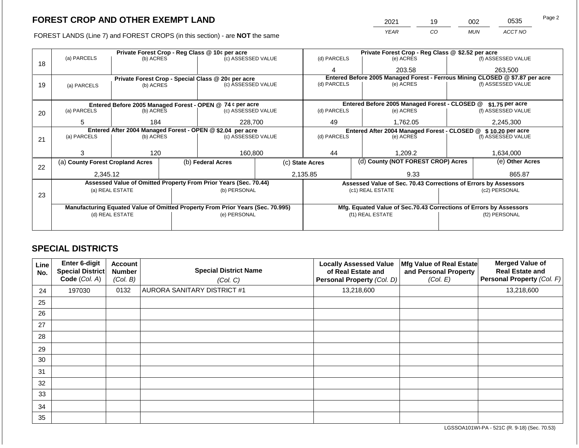FOREST LANDS (Line 7) and FOREST CROPS (in this section) - are NOT the same

| 2021 | 19 | 002        | 0535    | Page 2 |
|------|----|------------|---------|--------|
| YEAR | CO | <b>MUN</b> | ACCT NO |        |

|    |                                                            |                 |  | Private Forest Crop - Reg Class @ 10¢ per acre                                 |                    | Private Forest Crop - Reg Class @ \$2.52 per acre                            |             |                                                                    |               |                    |
|----|------------------------------------------------------------|-----------------|--|--------------------------------------------------------------------------------|--------------------|------------------------------------------------------------------------------|-------------|--------------------------------------------------------------------|---------------|--------------------|
| 18 | (a) PARCELS                                                | (b) ACRES       |  | (c) ASSESSED VALUE                                                             |                    | (d) PARCELS                                                                  |             | (e) ACRES                                                          |               | (f) ASSESSED VALUE |
|    |                                                            |                 |  |                                                                                |                    | 4                                                                            |             | 203.58                                                             |               | 263,500            |
|    |                                                            |                 |  | Private Forest Crop - Special Class @ 20¢ per acre                             |                    | Entered Before 2005 Managed Forest - Ferrous Mining CLOSED @ \$7.87 per acre |             |                                                                    |               |                    |
| 19 | (a) PARCELS                                                | (b) ACRES       |  |                                                                                | (c) ASSESSED VALUE |                                                                              | (d) PARCELS | (e) ACRES                                                          |               | (f) ASSESSED VALUE |
|    |                                                            |                 |  |                                                                                |                    |                                                                              |             |                                                                    |               |                    |
|    |                                                            |                 |  | Entered Before 2005 Managed Forest - OPEN @ 74 ¢ per acre                      |                    | Entered Before 2005 Managed Forest - CLOSED @<br>\$1.75 per acre             |             |                                                                    |               |                    |
| 20 | (a) PARCELS                                                | (b) ACRES       |  | (c) ASSESSED VALUE                                                             |                    | (d) PARCELS                                                                  |             | (e) ACRES                                                          |               | (f) ASSESSED VALUE |
|    |                                                            |                 |  |                                                                                |                    |                                                                              |             |                                                                    |               |                    |
|    | 5                                                          | 184             |  | 228,700                                                                        | 49                 | 1.762.05                                                                     |             | 2,245,300                                                          |               |                    |
|    | Entered After 2004 Managed Forest - OPEN @ \$2.04 per acre |                 |  |                                                                                |                    |                                                                              |             | Entered After 2004 Managed Forest - CLOSED @ \$ 10.20 per acre     |               |                    |
| 21 | (a) PARCELS                                                | (b) ACRES       |  | (c) ASSESSED VALUE                                                             |                    | (d) PARCELS                                                                  |             | (e) ACRES                                                          |               | (f) ASSESSED VALUE |
|    |                                                            |                 |  |                                                                                |                    |                                                                              |             |                                                                    |               |                    |
|    |                                                            | 120             |  | 160,800                                                                        |                    | 44<br>1.209.2                                                                |             |                                                                    | 1,634,000     |                    |
| 22 | (a) County Forest Cropland Acres                           |                 |  | (b) Federal Acres                                                              |                    | (d) County (NOT FOREST CROP) Acres<br>(c) State Acres                        |             |                                                                    |               | (e) Other Acres    |
|    | 2,345.12                                                   |                 |  |                                                                                |                    | 2,135.85                                                                     |             | 9.33                                                               |               | 865.87             |
|    |                                                            |                 |  | Assessed Value of Omitted Property From Prior Years (Sec. 70.44)               |                    |                                                                              |             | Assessed Value of Sec. 70.43 Corrections of Errors by Assessors    |               |                    |
|    |                                                            | (a) REAL ESTATE |  | (b) PERSONAL                                                                   |                    |                                                                              |             | (c1) REAL ESTATE                                                   |               | (c2) PERSONAL      |
| 23 |                                                            |                 |  |                                                                                |                    |                                                                              |             |                                                                    |               |                    |
|    |                                                            |                 |  | Manufacturing Equated Value of Omitted Property From Prior Years (Sec. 70.995) |                    |                                                                              |             | Mfg. Equated Value of Sec.70.43 Corrections of Errors by Assessors |               |                    |
|    |                                                            | (d) REAL ESTATE |  | (e) PERSONAL                                                                   |                    | (f1) REAL ESTATE                                                             |             |                                                                    | (f2) PERSONAL |                    |
|    |                                                            |                 |  |                                                                                |                    |                                                                              |             |                                                                    |               |                    |
|    |                                                            |                 |  |                                                                                |                    |                                                                              |             |                                                                    |               |                    |

# **SPECIAL DISTRICTS**

| Line<br>No. | Enter 6-digit<br>Special District<br>Code (Col. A) | <b>Account</b><br><b>Number</b><br>(Col. B) | <b>Special District Name</b><br>(Col. C) | <b>Locally Assessed Value</b><br>of Real Estate and<br>Personal Property (Col. D) | Mfg Value of Real Estate<br>and Personal Property<br>(Col. E) | <b>Merged Value of</b><br><b>Real Estate and</b><br><b>Personal Property (Col. F)</b> |
|-------------|----------------------------------------------------|---------------------------------------------|------------------------------------------|-----------------------------------------------------------------------------------|---------------------------------------------------------------|---------------------------------------------------------------------------------------|
| 24          | 197030                                             | 0132                                        | AURORA SANITARY DISTRICT #1              | 13,218,600                                                                        |                                                               | 13,218,600                                                                            |
| 25          |                                                    |                                             |                                          |                                                                                   |                                                               |                                                                                       |
| 26          |                                                    |                                             |                                          |                                                                                   |                                                               |                                                                                       |
| 27          |                                                    |                                             |                                          |                                                                                   |                                                               |                                                                                       |
| 28          |                                                    |                                             |                                          |                                                                                   |                                                               |                                                                                       |
| 29          |                                                    |                                             |                                          |                                                                                   |                                                               |                                                                                       |
| 30          |                                                    |                                             |                                          |                                                                                   |                                                               |                                                                                       |
| 31          |                                                    |                                             |                                          |                                                                                   |                                                               |                                                                                       |
| 32          |                                                    |                                             |                                          |                                                                                   |                                                               |                                                                                       |
| 33          |                                                    |                                             |                                          |                                                                                   |                                                               |                                                                                       |
| 34          |                                                    |                                             |                                          |                                                                                   |                                                               |                                                                                       |
| 35          |                                                    |                                             |                                          |                                                                                   |                                                               |                                                                                       |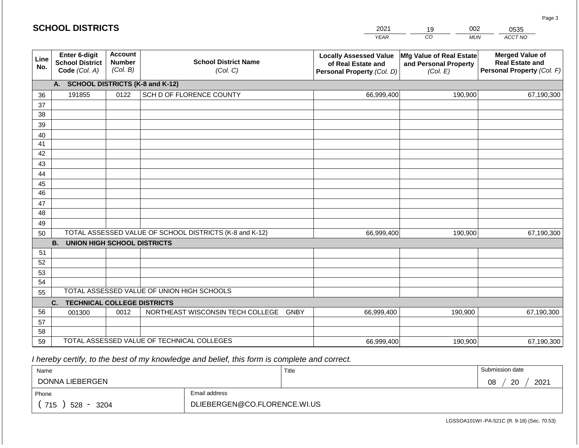#### *YEAR*  2021  $\overline{co}$ 19 *MUN*  002 *ACCT NO*  0535 **SCHOOL DISTRICTS Line No. Enter 6-digit School District Code** *(Col. A)* **Account Number** *(Col. B)* **School District Name** *(Col. C)* **Locally Assessed Value of Real Estate and Personal Property** *(Col. D)* **Mfg Value of Real Estate and Personal Property** *(Col. E)* **Merged Value of Real Estate and Personal Property** *(Col. F)* **A. SCHOOL DISTRICTS (K-8 and K-12)** 36 37 38 39 40 41 42 43 44 45 46 47 48 49 50 TOTAL ASSESSED VALUE OF SCHOOL DISTRICTS (K-8 and K-12) **B. UNION HIGH SCHOOL DISTRICTS** 51 52 53 54 55 **C. TECHNICAL COLLEGE DISTRICTS** 56 57 58 59 TOTAL ASSESSED VALUE OF TECHNICAL COLLEGES TOTAL ASSESSED VALUE OF UNION HIGH SCHOOLS 191855 0122 SCH D OF FLORENCE COUNTY 66,999,400 66,999,400 001300 | 0012 | NORTHEAST WISCONSIN TECH COLLEGE GNBY 66,999,400 190,900 67,190,300 190,900 67,190,300 190,900 67,190,300 66,999,400 190,900 67,190,300

 *I hereby certify, to the best of my knowledge and belief, this form is complete and correct.*

| Name                                           |                              | Title | Submission date  |
|------------------------------------------------|------------------------------|-------|------------------|
| DONNA LIEBERGEN                                |                              |       | 2021<br>20<br>08 |
| Phone                                          | Email address                |       |                  |
| 715<br>3204<br>528<br>$\overline{\phantom{a}}$ | DLIEBERGEN@CO.FLORENCE.WI.US |       |                  |

Page 3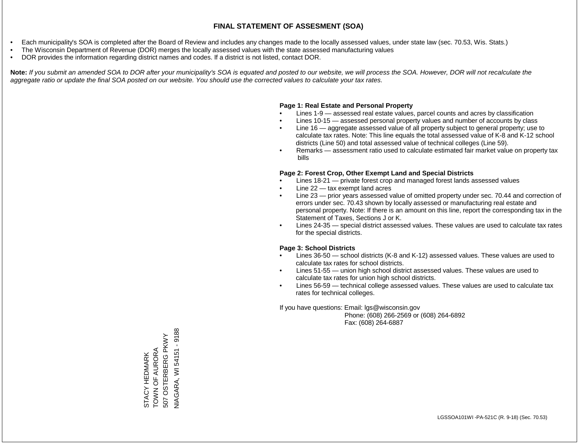- Each municipality's SOA is completed after the Board of Review and includes any changes made to the locally assessed values, under state law (sec. 70.53, Wis. Stats.)
- The Wisconsin Department of Revenue (DOR) merges the locally assessed values with the state assessed manufacturing values
- DOR provides the information regarding district names and codes. If a district is not listed, contact DOR.

Note: If you submit an amended SOA to DOR after your municipality's SOA is equated and posted to our website, we will process the SOA. However, DOR will not recalculate the *aggregate ratio or update the final SOA posted on our website. You should use the corrected values to calculate your tax rates.*

### **Page 1: Real Estate and Personal Property**

- Lines 1-9 assessed real estate values, parcel counts and acres by classification
- Lines 10-15 assessed personal property values and number of accounts by class
- Line 16 aggregate assessed value of all property subject to general property; use to calculate tax rates. Note: This line equals the total assessed value of K-8 and K-12 school districts (Line 50) and total assessed value of technical colleges (Line 59).
- Remarks assessment ratio used to calculate estimated fair market value on property tax bills

### **Page 2: Forest Crop, Other Exempt Land and Special Districts**

- Lines 18-21 private forest crop and managed forest lands assessed values
- Line  $22 -$  tax exempt land acres
- Line 23 prior years assessed value of omitted property under sec. 70.44 and correction of errors under sec. 70.43 shown by locally assessed or manufacturing real estate and personal property. Note: If there is an amount on this line, report the corresponding tax in the Statement of Taxes, Sections J or K.
- Lines 24-35 special district assessed values. These values are used to calculate tax rates for the special districts.

### **Page 3: School Districts**

- Lines 36-50 school districts (K-8 and K-12) assessed values. These values are used to calculate tax rates for school districts.
- Lines 51-55 union high school district assessed values. These values are used to calculate tax rates for union high school districts.
- Lines 56-59 technical college assessed values. These values are used to calculate tax rates for technical colleges.

If you have questions: Email: lgs@wisconsin.gov

 Phone: (608) 266-2569 or (608) 264-6892 Fax: (608) 264-6887

**VIAGARA, WI54151 - 9188** NIAGARA, WI 54151 - 9188507 OSTERBERG PKWY 507 OSTERBERG PKWY STACY HEDMARK<br>TOWN OF AURORA TOWN OF AURORA STACY HEDMARK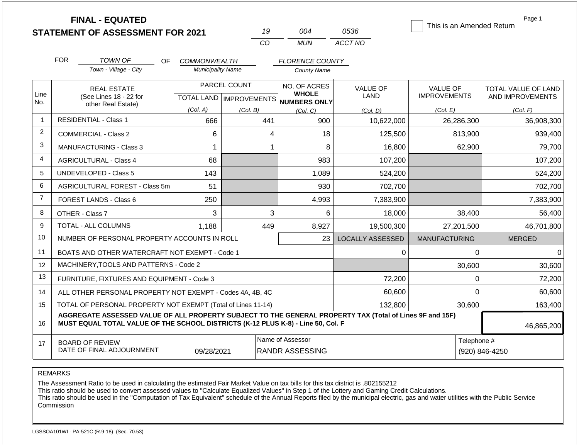|                |                                                                                                                                                                                              | <b>FINAL - EQUATED</b><br><b>STATEMENT OF ASSESSMENT FOR 2021</b> |                          |              | 19  | 004                                                  | 0536                    | This is an Amended Return | Page 1                        |        |
|----------------|----------------------------------------------------------------------------------------------------------------------------------------------------------------------------------------------|-------------------------------------------------------------------|--------------------------|--------------|-----|------------------------------------------------------|-------------------------|---------------------------|-------------------------------|--------|
|                |                                                                                                                                                                                              |                                                                   |                          | CO           |     | <b>MUN</b>                                           | ACCT NO                 |                           |                               |        |
|                | <b>FOR</b>                                                                                                                                                                                   | <b>TOWN OF</b><br>OF.                                             | <b>COMMONWEALTH</b>      |              |     | <b>FLORENCE COUNTY</b>                               |                         |                           |                               |        |
|                |                                                                                                                                                                                              | Town - Village - City                                             | <b>Municipality Name</b> |              |     | <b>County Name</b>                                   |                         |                           |                               |        |
|                | <b>REAL ESTATE</b>                                                                                                                                                                           |                                                                   |                          | PARCEL COUNT |     | NO. OF ACRES                                         | <b>VALUE OF</b>         | <b>VALUE OF</b>           | TOTAL VALUE OF LAND           |        |
| Line<br>No.    |                                                                                                                                                                                              | (See Lines 18 - 22 for<br>other Real Estate)                      |                          |              |     | <b>WHOLE</b><br>TOTAL LAND IMPROVEMENTS NUMBERS ONLY | <b>LAND</b>             | <b>IMPROVEMENTS</b>       | AND IMPROVEMENTS              |        |
|                |                                                                                                                                                                                              |                                                                   | (Col. A)                 | (Col. B)     |     | (Col. C)                                             | (Col, D)                | (Col. E)                  | (Col. F)                      |        |
| $\overline{1}$ |                                                                                                                                                                                              | <b>RESIDENTIAL - Class 1</b>                                      | 666                      |              | 441 | 900                                                  | 10,622,000              | 26,286,300                | 36,908,300                    |        |
| $\overline{c}$ |                                                                                                                                                                                              | COMMERCIAL - Class 2                                              | 6                        |              | 4   | 18                                                   | 125,500                 | 813,900                   | 939,400                       |        |
| 3              | <b>MANUFACTURING - Class 3</b><br>1                                                                                                                                                          |                                                                   |                          |              | 1   | 8                                                    | 16,800                  | 62,900                    |                               | 79,700 |
| 4              |                                                                                                                                                                                              | <b>AGRICULTURAL - Class 4</b>                                     | 68                       |              |     | 983                                                  | 107,200                 |                           | 107,200                       |        |
| 5              |                                                                                                                                                                                              | <b>UNDEVELOPED - Class 5</b>                                      | 143                      |              |     | 1,089                                                | 524,200                 |                           | 524,200                       |        |
| 6              |                                                                                                                                                                                              | AGRICULTURAL FOREST - Class 5m                                    | 51                       |              |     | 930                                                  | 702,700                 |                           | 702,700                       |        |
| $\overline{7}$ |                                                                                                                                                                                              | FOREST LANDS - Class 6                                            | 250                      |              |     | 4,993                                                | 7,383,900               |                           | 7,383,900                     |        |
| 8              |                                                                                                                                                                                              | OTHER - Class 7                                                   | 3                        |              | 3   | 6                                                    | 18,000                  | 38,400                    |                               | 56,400 |
| 9              |                                                                                                                                                                                              | TOTAL - ALL COLUMNS                                               | 1,188                    |              | 449 | 8,927                                                | 19,500,300              | 27,201,500                | 46,701,800                    |        |
| 10             |                                                                                                                                                                                              | NUMBER OF PERSONAL PROPERTY ACCOUNTS IN ROLL                      |                          |              |     | 23                                                   | <b>LOCALLY ASSESSED</b> | <b>MANUFACTURING</b>      | <b>MERGED</b>                 |        |
| 11             |                                                                                                                                                                                              | BOATS AND OTHER WATERCRAFT NOT EXEMPT - Code 1                    |                          |              |     |                                                      | 0                       |                           | $\Omega$                      | 0      |
| 12             |                                                                                                                                                                                              | MACHINERY, TOOLS AND PATTERNS - Code 2                            |                          |              |     |                                                      |                         | 30,600                    |                               | 30,600 |
| 13             |                                                                                                                                                                                              | FURNITURE, FIXTURES AND EQUIPMENT - Code 3                        |                          |              |     |                                                      | 72,200                  |                           | 0                             | 72,200 |
| 14             |                                                                                                                                                                                              | ALL OTHER PERSONAL PROPERTY NOT EXEMPT - Codes 4A, 4B, 4C         |                          |              |     |                                                      | 60,600                  |                           | $\Omega$                      | 60,600 |
| 15             |                                                                                                                                                                                              | TOTAL OF PERSONAL PROPERTY NOT EXEMPT (Total of Lines 11-14)      |                          |              |     |                                                      | 132,800                 | 30,600                    | 163,400                       |        |
| 16             | AGGREGATE ASSESSED VALUE OF ALL PROPERTY SUBJECT TO THE GENERAL PROPERTY TAX (Total of Lines 9F and 15F)<br>MUST EQUAL TOTAL VALUE OF THE SCHOOL DISTRICTS (K-12 PLUS K-8) - Line 50, Col. F |                                                                   |                          |              |     |                                                      |                         |                           | 46,865,200                    |        |
| 17             |                                                                                                                                                                                              | <b>BOARD OF REVIEW</b><br>DATE OF FINAL ADJOURNMENT               | 09/28/2021               |              |     | Name of Assessor<br><b>RANDR ASSESSING</b>           |                         |                           | Telephone #<br>(920) 846-4250 |        |

The Assessment Ratio to be used in calculating the estimated Fair Market Value on tax bills for this tax district is .802155212

This ratio should be used to convert assessed values to "Calculate Equalized Values" in Step 1 of the Lottery and Gaming Credit Calculations.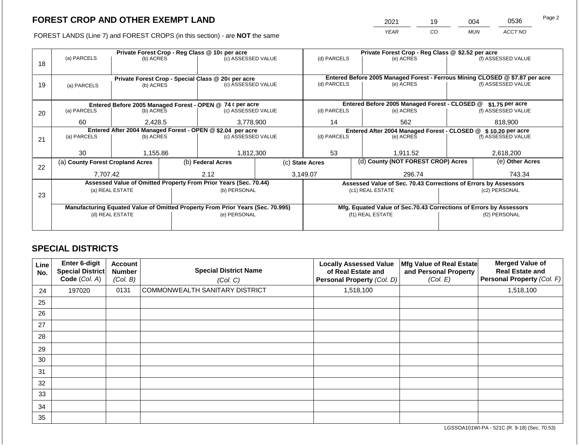| 2021 |     |     | 0536    | Page 2 |
|------|-----|-----|---------|--------|
| YFAR | CO. | MUN | ACCT NO |        |

FOREST LANDS (Line 7) and FOREST CROPS (in this section) - are NOT the same

|    |                                                            |                 |  | Private Forest Crop - Reg Class @ 10¢ per acre                                 |  | Private Forest Crop - Reg Class @ \$2.52 per acre |                                                                |                                                                    |                    |                                                                                                    |
|----|------------------------------------------------------------|-----------------|--|--------------------------------------------------------------------------------|--|---------------------------------------------------|----------------------------------------------------------------|--------------------------------------------------------------------|--------------------|----------------------------------------------------------------------------------------------------|
|    | (a) PARCELS                                                | (b) ACRES       |  | (c) ASSESSED VALUE                                                             |  | (d) PARCELS                                       |                                                                | (e) ACRES                                                          |                    | (f) ASSESSED VALUE                                                                                 |
| 18 |                                                            |                 |  |                                                                                |  |                                                   |                                                                |                                                                    |                    |                                                                                                    |
|    |                                                            |                 |  |                                                                                |  |                                                   |                                                                |                                                                    |                    |                                                                                                    |
|    | Private Forest Crop - Special Class @ 20¢ per acre         |                 |  | (c) ASSESSED VALUE                                                             |  | (d) PARCELS                                       |                                                                | (e) ACRES                                                          |                    | Entered Before 2005 Managed Forest - Ferrous Mining CLOSED @ \$7.87 per acre<br>(f) ASSESSED VALUE |
| 19 | (a) PARCELS                                                | (b) ACRES       |  |                                                                                |  |                                                   |                                                                |                                                                    |                    |                                                                                                    |
|    |                                                            |                 |  |                                                                                |  |                                                   |                                                                |                                                                    |                    |                                                                                                    |
|    |                                                            |                 |  | Entered Before 2005 Managed Forest - OPEN @ 74 ¢ per acre                      |  |                                                   |                                                                | Entered Before 2005 Managed Forest - CLOSED @                      |                    | $$1.75$ per acre                                                                                   |
| 20 | (a) PARCELS                                                | (b) ACRES       |  | (c) ASSESSED VALUE                                                             |  | (d) PARCELS                                       |                                                                | (e) ACRES                                                          |                    | (f) ASSESSED VALUE                                                                                 |
|    |                                                            |                 |  |                                                                                |  |                                                   |                                                                |                                                                    |                    |                                                                                                    |
|    | 60                                                         | 2,428.5         |  | 3,778,900                                                                      |  | 14<br>562                                         |                                                                | 818,900                                                            |                    |                                                                                                    |
|    | Entered After 2004 Managed Forest - OPEN @ \$2.04 per acre |                 |  |                                                                                |  |                                                   | Entered After 2004 Managed Forest - CLOSED @ \$ 10.20 per acre |                                                                    |                    |                                                                                                    |
| 21 | (a) PARCELS                                                | (b) ACRES       |  | (c) ASSESSED VALUE                                                             |  | (d) PARCELS<br>(e) ACRES                          |                                                                |                                                                    | (f) ASSESSED VALUE |                                                                                                    |
|    |                                                            |                 |  |                                                                                |  |                                                   |                                                                |                                                                    |                    |                                                                                                    |
|    | 30                                                         | 1,155.86        |  | 1,812,300                                                                      |  | 53                                                |                                                                | 1.911.52                                                           |                    | 2,618,200                                                                                          |
|    | (a) County Forest Cropland Acres                           |                 |  | (b) Federal Acres                                                              |  | (c) State Acres                                   |                                                                | (d) County (NOT FOREST CROP) Acres                                 |                    | (e) Other Acres                                                                                    |
| 22 |                                                            |                 |  |                                                                                |  |                                                   |                                                                |                                                                    |                    |                                                                                                    |
|    | 7.707.42                                                   |                 |  | 2.12                                                                           |  | 3,149.07                                          |                                                                | 296.74                                                             |                    | 743.34                                                                                             |
|    |                                                            |                 |  | Assessed Value of Omitted Property From Prior Years (Sec. 70.44)               |  |                                                   |                                                                | Assessed Value of Sec. 70.43 Corrections of Errors by Assessors    |                    |                                                                                                    |
|    | (a) REAL ESTATE                                            |                 |  | (b) PERSONAL                                                                   |  |                                                   |                                                                | (c1) REAL ESTATE                                                   |                    | (c2) PERSONAL                                                                                      |
| 23 |                                                            |                 |  |                                                                                |  |                                                   |                                                                |                                                                    |                    |                                                                                                    |
|    |                                                            |                 |  | Manufacturing Equated Value of Omitted Property From Prior Years (Sec. 70.995) |  |                                                   |                                                                | Mfg. Equated Value of Sec.70.43 Corrections of Errors by Assessors |                    |                                                                                                    |
|    |                                                            | (d) REAL ESTATE |  | (e) PERSONAL                                                                   |  |                                                   |                                                                | (f1) REAL ESTATE                                                   | (f2) PERSONAL      |                                                                                                    |
|    |                                                            |                 |  |                                                                                |  |                                                   |                                                                |                                                                    |                    |                                                                                                    |
|    |                                                            |                 |  |                                                                                |  |                                                   |                                                                |                                                                    |                    |                                                                                                    |

# **SPECIAL DISTRICTS**

| Line<br>No. | <b>Enter 6-digit</b><br><b>Special District</b><br>Code (Col. A) | <b>Account</b><br><b>Number</b><br>(Col. B) | <b>Special District Name</b><br>(Col. C) | <b>Locally Assessed Value</b><br>of Real Estate and<br>Personal Property (Col. D) | Mfg Value of Real Estate<br>and Personal Property<br>(Col. E) | <b>Merged Value of</b><br><b>Real Estate and</b><br>Personal Property (Col. F) |
|-------------|------------------------------------------------------------------|---------------------------------------------|------------------------------------------|-----------------------------------------------------------------------------------|---------------------------------------------------------------|--------------------------------------------------------------------------------|
| 24          | 197020                                                           | 0131                                        | COMMONWEALTH SANITARY DISTRICT           | 1,518,100                                                                         |                                                               | 1,518,100                                                                      |
| 25          |                                                                  |                                             |                                          |                                                                                   |                                                               |                                                                                |
| 26          |                                                                  |                                             |                                          |                                                                                   |                                                               |                                                                                |
| 27          |                                                                  |                                             |                                          |                                                                                   |                                                               |                                                                                |
| 28          |                                                                  |                                             |                                          |                                                                                   |                                                               |                                                                                |
| 29          |                                                                  |                                             |                                          |                                                                                   |                                                               |                                                                                |
| 30          |                                                                  |                                             |                                          |                                                                                   |                                                               |                                                                                |
| 31          |                                                                  |                                             |                                          |                                                                                   |                                                               |                                                                                |
| 32          |                                                                  |                                             |                                          |                                                                                   |                                                               |                                                                                |
| 33          |                                                                  |                                             |                                          |                                                                                   |                                                               |                                                                                |
| 34          |                                                                  |                                             |                                          |                                                                                   |                                                               |                                                                                |
| 35          |                                                                  |                                             |                                          |                                                                                   |                                                               |                                                                                |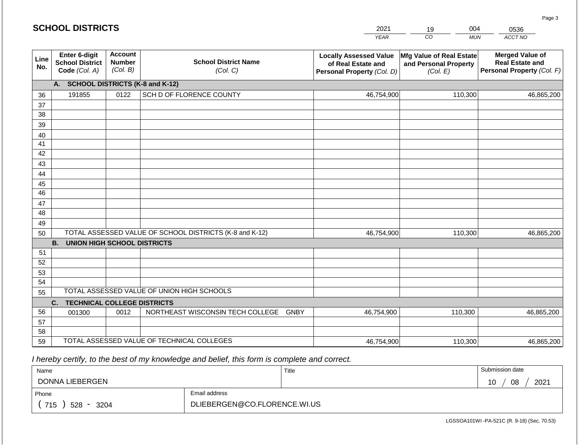|             | <b>SCHOOL DISTRICTS</b>                                                                |                                             |                                                         | 2021                                                                              | 004<br>19                                                     | 0536                                                                           |  |  |  |  |  |
|-------------|----------------------------------------------------------------------------------------|---------------------------------------------|---------------------------------------------------------|-----------------------------------------------------------------------------------|---------------------------------------------------------------|--------------------------------------------------------------------------------|--|--|--|--|--|
|             |                                                                                        |                                             |                                                         | <b>YEAR</b>                                                                       | CO<br><b>MUN</b>                                              | ACCT NO                                                                        |  |  |  |  |  |
| Line<br>No. | <b>Enter 6-digit</b><br><b>School District</b><br>Code (Col. A)                        | <b>Account</b><br><b>Number</b><br>(Col. B) | <b>School District Name</b><br>(Col. C)                 | <b>Locally Assessed Value</b><br>of Real Estate and<br>Personal Property (Col. D) | Mfg Value of Real Estate<br>and Personal Property<br>(Col. E) | <b>Merged Value of</b><br><b>Real Estate and</b><br>Personal Property (Col. F) |  |  |  |  |  |
|             | А.                                                                                     |                                             | <b>SCHOOL DISTRICTS (K-8 and K-12)</b>                  |                                                                                   |                                                               |                                                                                |  |  |  |  |  |
| 36          | 191855                                                                                 | 0122                                        | SCH D OF FLORENCE COUNTY                                | 46,754,900                                                                        | 110,300                                                       | 46,865,200                                                                     |  |  |  |  |  |
| 37          |                                                                                        |                                             |                                                         |                                                                                   |                                                               |                                                                                |  |  |  |  |  |
| 38          |                                                                                        |                                             |                                                         |                                                                                   |                                                               |                                                                                |  |  |  |  |  |
| 39          |                                                                                        |                                             |                                                         |                                                                                   |                                                               |                                                                                |  |  |  |  |  |
| 40          |                                                                                        |                                             |                                                         |                                                                                   |                                                               |                                                                                |  |  |  |  |  |
| 41<br>42    |                                                                                        |                                             |                                                         |                                                                                   |                                                               |                                                                                |  |  |  |  |  |
| 43          |                                                                                        |                                             |                                                         |                                                                                   |                                                               |                                                                                |  |  |  |  |  |
| 44          |                                                                                        |                                             |                                                         |                                                                                   |                                                               |                                                                                |  |  |  |  |  |
| 45          |                                                                                        |                                             |                                                         |                                                                                   |                                                               |                                                                                |  |  |  |  |  |
| 46          |                                                                                        |                                             |                                                         |                                                                                   |                                                               |                                                                                |  |  |  |  |  |
| 47          |                                                                                        |                                             |                                                         |                                                                                   |                                                               |                                                                                |  |  |  |  |  |
| 48          |                                                                                        |                                             |                                                         |                                                                                   |                                                               |                                                                                |  |  |  |  |  |
| 49          |                                                                                        |                                             |                                                         |                                                                                   |                                                               |                                                                                |  |  |  |  |  |
| 50          |                                                                                        |                                             | TOTAL ASSESSED VALUE OF SCHOOL DISTRICTS (K-8 and K-12) | 46,754,900                                                                        | 110,300                                                       | 46,865,200                                                                     |  |  |  |  |  |
|             | <b>B.</b><br><b>UNION HIGH SCHOOL DISTRICTS</b>                                        |                                             |                                                         |                                                                                   |                                                               |                                                                                |  |  |  |  |  |
| 51          |                                                                                        |                                             |                                                         |                                                                                   |                                                               |                                                                                |  |  |  |  |  |
| 52          |                                                                                        |                                             |                                                         |                                                                                   |                                                               |                                                                                |  |  |  |  |  |
| 53          |                                                                                        |                                             |                                                         |                                                                                   |                                                               |                                                                                |  |  |  |  |  |
| 54          |                                                                                        |                                             |                                                         |                                                                                   |                                                               |                                                                                |  |  |  |  |  |
|             | TOTAL ASSESSED VALUE OF UNION HIGH SCHOOLS<br>55<br><b>TECHNICAL COLLEGE DISTRICTS</b> |                                             |                                                         |                                                                                   |                                                               |                                                                                |  |  |  |  |  |
| 56          | C.                                                                                     | 0012                                        | NORTHEAST WISCONSIN TECH COLLEGE GNBY                   | 46,754,900                                                                        | 110,300                                                       | 46,865,200                                                                     |  |  |  |  |  |
| 57          | 001300                                                                                 |                                             |                                                         |                                                                                   |                                                               |                                                                                |  |  |  |  |  |
| 58          |                                                                                        |                                             |                                                         |                                                                                   |                                                               |                                                                                |  |  |  |  |  |
| 59          |                                                                                        |                                             | TOTAL ASSESSED VALUE OF TECHNICAL COLLEGES              | 46,754,900                                                                        | 110,300                                                       | 46,865,200                                                                     |  |  |  |  |  |

 *I hereby certify, to the best of my knowledge and belief, this form is complete and correct.*

| Name               |                              | Title | Submission date  |
|--------------------|------------------------------|-------|------------------|
| DONNA LIEBERGEN    |                              |       | 2021<br>08<br>ັບ |
| Phone              | Email address                |       |                  |
| 715<br>528<br>3204 | DLIEBERGEN@CO.FLORENCE.WI.US |       |                  |

LGSSOA101WI -PA-521C (R. 9-18) (Sec. 70.53)

Page 3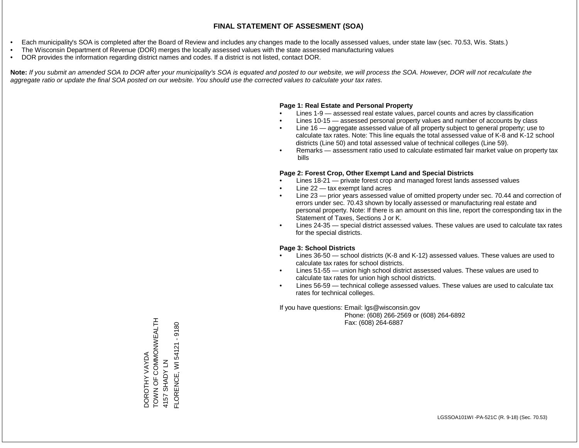- Each municipality's SOA is completed after the Board of Review and includes any changes made to the locally assessed values, under state law (sec. 70.53, Wis. Stats.)
- The Wisconsin Department of Revenue (DOR) merges the locally assessed values with the state assessed manufacturing values
- DOR provides the information regarding district names and codes. If a district is not listed, contact DOR.

Note: If you submit an amended SOA to DOR after your municipality's SOA is equated and posted to our website, we will process the SOA. However, DOR will not recalculate the *aggregate ratio or update the final SOA posted on our website. You should use the corrected values to calculate your tax rates.*

#### **Page 1: Real Estate and Personal Property**

- Lines 1-9 assessed real estate values, parcel counts and acres by classification
- Lines 10-15 assessed personal property values and number of accounts by class
- Line 16 aggregate assessed value of all property subject to general property; use to calculate tax rates. Note: This line equals the total assessed value of K-8 and K-12 school districts (Line 50) and total assessed value of technical colleges (Line 59).
- Remarks assessment ratio used to calculate estimated fair market value on property tax bills

#### **Page 2: Forest Crop, Other Exempt Land and Special Districts**

- Lines 18-21 private forest crop and managed forest lands assessed values
- Line  $22 -$  tax exempt land acres
- Line 23 prior years assessed value of omitted property under sec. 70.44 and correction of errors under sec. 70.43 shown by locally assessed or manufacturing real estate and personal property. Note: If there is an amount on this line, report the corresponding tax in the Statement of Taxes, Sections J or K.
- Lines 24-35 special district assessed values. These values are used to calculate tax rates for the special districts.

#### **Page 3: School Districts**

- Lines 36-50 school districts (K-8 and K-12) assessed values. These values are used to calculate tax rates for school districts.
- Lines 51-55 union high school district assessed values. These values are used to calculate tax rates for union high school districts.
- Lines 56-59 technical college assessed values. These values are used to calculate tax rates for technical colleges.

If you have questions: Email: lgs@wisconsin.gov

 Phone: (608) 266-2569 or (608) 264-6892 Fax: (608) 264-6887

THTAIN NO COMMON LONG COMMON DOROTHY VAYDA<br>TOWN OF COMMONWEALTH<br>4157 SHADY LN  $-9180$ FLORENCE, WI 54121 - 9180FLORENCE, WI 54121 DOROTHY VAYDA 4157 SHADY LN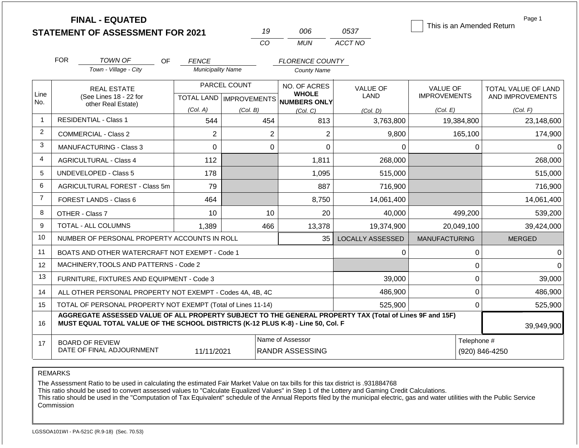|                | <b>FINAL - EQUATED</b><br><b>STATEMENT OF ASSESSMENT FOR 2021</b>                                                                                                                            |                          | 19                                        | 006                          | 0537                    | This is an Amended Return              | Page 1                                  |
|----------------|----------------------------------------------------------------------------------------------------------------------------------------------------------------------------------------------|--------------------------|-------------------------------------------|------------------------------|-------------------------|----------------------------------------|-----------------------------------------|
|                |                                                                                                                                                                                              |                          | CO                                        | <b>MUN</b>                   | ACCT NO                 |                                        |                                         |
|                | <b>FOR</b><br><b>TOWN OF</b><br>OF                                                                                                                                                           | <b>FENCE</b>             |                                           | <b>FLORENCE COUNTY</b>       |                         |                                        |                                         |
|                | Town - Village - City                                                                                                                                                                        | <b>Municipality Name</b> |                                           | <b>County Name</b>           |                         |                                        |                                         |
| Line           | <b>REAL ESTATE</b><br>(See Lines 18 - 22 for                                                                                                                                                 |                          | PARCEL COUNT<br>TOTAL LAND   IMPROVEMENTS | NO. OF ACRES<br><b>WHOLE</b> | <b>VALUE OF</b><br>LAND | <b>VALUE OF</b><br><b>IMPROVEMENTS</b> | TOTAL VALUE OF LAND<br>AND IMPROVEMENTS |
| No.            | other Real Estate)                                                                                                                                                                           | (Col. A)                 | (Col. B)                                  | NUMBERS ONLY<br>(Col, C)     | (Col. D)                | (Col. E)                               | (Col. F)                                |
| $\overline{1}$ | <b>RESIDENTIAL - Class 1</b><br>544<br>454<br>813                                                                                                                                            |                          | 3,763,800                                 | 19,384,800                   | 23,148,600              |                                        |                                         |
| 2              | <b>COMMERCIAL - Class 2</b>                                                                                                                                                                  | $\overline{2}$           | $\overline{2}$                            | $\overline{2}$               | 9,800                   | 165,100                                | 174,900                                 |
| 3              | 0<br><b>MANUFACTURING - Class 3</b>                                                                                                                                                          |                          |                                           | 0<br>$\Omega$                | 0                       | 0                                      | $\Omega$                                |
| $\overline{4}$ | <b>AGRICULTURAL - Class 4</b><br>112                                                                                                                                                         |                          |                                           | 1,811                        | 268,000                 |                                        | 268,000                                 |
| 5              | <b>UNDEVELOPED - Class 5</b>                                                                                                                                                                 | 178                      |                                           | 1,095                        | 515,000                 |                                        | 515,000                                 |
| 6              | <b>AGRICULTURAL FOREST - Class 5m</b>                                                                                                                                                        | 79                       |                                           | 887                          | 716,900                 |                                        | 716,900                                 |
| $\overline{7}$ | FOREST LANDS - Class 6                                                                                                                                                                       | 464                      |                                           | 8,750                        | 14,061,400              |                                        | 14,061,400                              |
| 8              | OTHER - Class 7                                                                                                                                                                              | 10                       | 10                                        | 20                           | 40,000                  | 499,200                                | 539,200                                 |
| 9              | <b>TOTAL - ALL COLUMNS</b>                                                                                                                                                                   | 1,389                    | 466                                       | 13,378                       | 19,374,900              | 20,049,100                             | 39,424,000                              |
| 10             | NUMBER OF PERSONAL PROPERTY ACCOUNTS IN ROLL                                                                                                                                                 |                          |                                           | 35                           | <b>LOCALLY ASSESSED</b> | <b>MANUFACTURING</b>                   | <b>MERGED</b>                           |
| 11             | BOATS AND OTHER WATERCRAFT NOT EXEMPT - Code 1                                                                                                                                               |                          |                                           |                              | 0                       | 0                                      | $\Omega$                                |
| 12             | MACHINERY, TOOLS AND PATTERNS - Code 2                                                                                                                                                       |                          |                                           |                              |                         | 0                                      | $\Omega$                                |
| 13             | FURNITURE, FIXTURES AND EQUIPMENT - Code 3                                                                                                                                                   |                          |                                           |                              | 39,000                  | 0                                      | 39,000                                  |
| 14             | ALL OTHER PERSONAL PROPERTY NOT EXEMPT - Codes 4A, 4B, 4C                                                                                                                                    |                          |                                           |                              | 486,900                 | 0                                      | 486,900                                 |
| 15             | TOTAL OF PERSONAL PROPERTY NOT EXEMPT (Total of Lines 11-14)                                                                                                                                 |                          |                                           |                              | 525,900                 | 0                                      | 525,900                                 |
| 16             | AGGREGATE ASSESSED VALUE OF ALL PROPERTY SUBJECT TO THE GENERAL PROPERTY TAX (Total of Lines 9F and 15F)<br>MUST EQUAL TOTAL VALUE OF THE SCHOOL DISTRICTS (K-12 PLUS K-8) - Line 50, Col. F |                          | 39,949,900                                |                              |                         |                                        |                                         |
| 17             | <b>BOARD OF REVIEW</b><br>DATE OF FINAL ADJOURNMENT                                                                                                                                          | Telephone #              | (920) 846-4250                            |                              |                         |                                        |                                         |

The Assessment Ratio to be used in calculating the estimated Fair Market Value on tax bills for this tax district is .931884768

This ratio should be used to convert assessed values to "Calculate Equalized Values" in Step 1 of the Lottery and Gaming Credit Calculations.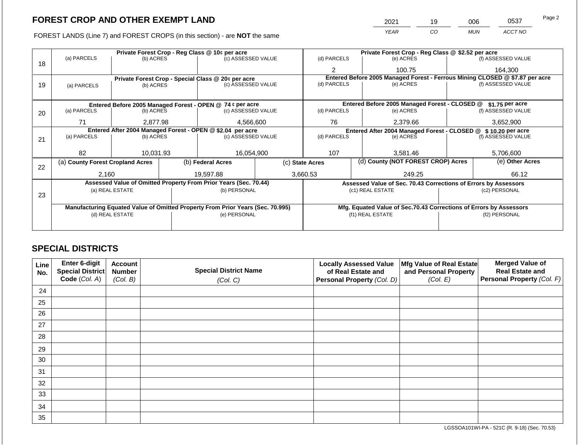FOREST LANDS (Line 7) and FOREST CROPS (in this section) - are NOT the same

| 2021 | 19 | 006        | 0537    | Page 2 |
|------|----|------------|---------|--------|
| YEAR | CO | <b>MUN</b> | ACCT NO |        |

|    |                                                            |                 |  | Private Forest Crop - Reg Class @ 10¢ per acre                                 |                    |                                                                              | Private Forest Crop - Reg Class @ \$2.52 per acre                  |  |                    |  |  |
|----|------------------------------------------------------------|-----------------|--|--------------------------------------------------------------------------------|--------------------|------------------------------------------------------------------------------|--------------------------------------------------------------------|--|--------------------|--|--|
| 18 | (a) PARCELS                                                | (b) ACRES       |  | (c) ASSESSED VALUE                                                             |                    | (d) PARCELS                                                                  | (e) ACRES                                                          |  | (f) ASSESSED VALUE |  |  |
|    |                                                            |                 |  |                                                                                |                    | 2                                                                            | 100.75                                                             |  | 164.300            |  |  |
|    |                                                            |                 |  | Private Forest Crop - Special Class @ 20¢ per acre                             |                    | Entered Before 2005 Managed Forest - Ferrous Mining CLOSED @ \$7.87 per acre |                                                                    |  |                    |  |  |
| 19 | (a) PARCELS                                                | (b) ACRES       |  | (c) ASSESSED VALUE                                                             |                    | (d) PARCELS                                                                  | (e) ACRES                                                          |  | (f) ASSESSED VALUE |  |  |
|    |                                                            |                 |  |                                                                                |                    |                                                                              |                                                                    |  |                    |  |  |
|    |                                                            |                 |  | Entered Before 2005 Managed Forest - OPEN @ 74 ¢ per acre                      |                    |                                                                              | Entered Before 2005 Managed Forest - CLOSED @                      |  | \$1.75 per acre    |  |  |
| 20 | (a) PARCELS                                                | (b) ACRES       |  | (c) ASSESSED VALUE                                                             |                    | (d) PARCELS                                                                  | (e) ACRES                                                          |  | (f) ASSESSED VALUE |  |  |
|    | 71                                                         | 2.877.98        |  | 4,566,600                                                                      |                    | 76                                                                           | 2,379.66                                                           |  | 3,652,900          |  |  |
|    | Entered After 2004 Managed Forest - OPEN @ \$2.04 per acre |                 |  |                                                                                |                    |                                                                              | Entered After 2004 Managed Forest - CLOSED @                       |  | $$10.20$ per acre  |  |  |
| 21 | (a) PARCELS                                                | (b) ACRES       |  |                                                                                | (c) ASSESSED VALUE |                                                                              | (d) PARCELS<br>(e) ACRES                                           |  | (f) ASSESSED VALUE |  |  |
|    |                                                            |                 |  |                                                                                |                    |                                                                              |                                                                    |  |                    |  |  |
|    | 82                                                         | 10.031.93       |  |                                                                                | 16,054,900<br>107  |                                                                              | 3.581.46                                                           |  |                    |  |  |
| 22 | (a) County Forest Cropland Acres                           |                 |  | (b) Federal Acres                                                              |                    | (c) State Acres                                                              | (d) County (NOT FOREST CROP) Acres                                 |  | (e) Other Acres    |  |  |
|    | 2,160                                                      |                 |  | 19,597.88                                                                      |                    | 3,660.53                                                                     | 249.25                                                             |  | 66.12              |  |  |
|    |                                                            |                 |  | Assessed Value of Omitted Property From Prior Years (Sec. 70.44)               |                    |                                                                              | Assessed Value of Sec. 70.43 Corrections of Errors by Assessors    |  |                    |  |  |
|    |                                                            | (a) REAL ESTATE |  | (b) PERSONAL                                                                   |                    |                                                                              | (c1) REAL ESTATE                                                   |  | (c2) PERSONAL      |  |  |
| 23 |                                                            |                 |  |                                                                                |                    |                                                                              |                                                                    |  |                    |  |  |
|    |                                                            |                 |  | Manufacturing Equated Value of Omitted Property From Prior Years (Sec. 70.995) |                    |                                                                              | Mfg. Equated Value of Sec.70.43 Corrections of Errors by Assessors |  |                    |  |  |
|    |                                                            | (d) REAL ESTATE |  | (e) PERSONAL                                                                   |                    |                                                                              | (f1) REAL ESTATE                                                   |  | (f2) PERSONAL      |  |  |
|    |                                                            |                 |  |                                                                                |                    |                                                                              |                                                                    |  |                    |  |  |
|    |                                                            |                 |  |                                                                                |                    |                                                                              |                                                                    |  |                    |  |  |

# **SPECIAL DISTRICTS**

| Line<br>No. | Enter 6-digit<br>Special District<br>Code (Col. A) | <b>Account</b><br><b>Number</b><br>(Col. B) | <b>Special District Name</b><br>(Col. C) | <b>Locally Assessed Value</b><br>of Real Estate and<br>Personal Property (Col. D) | Mfg Value of Real Estate<br>and Personal Property<br>(Col. E) | <b>Merged Value of</b><br><b>Real Estate and</b><br>Personal Property (Col. F) |
|-------------|----------------------------------------------------|---------------------------------------------|------------------------------------------|-----------------------------------------------------------------------------------|---------------------------------------------------------------|--------------------------------------------------------------------------------|
| 24          |                                                    |                                             |                                          |                                                                                   |                                                               |                                                                                |
| 25          |                                                    |                                             |                                          |                                                                                   |                                                               |                                                                                |
| 26          |                                                    |                                             |                                          |                                                                                   |                                                               |                                                                                |
| 27          |                                                    |                                             |                                          |                                                                                   |                                                               |                                                                                |
| 28          |                                                    |                                             |                                          |                                                                                   |                                                               |                                                                                |
| 29          |                                                    |                                             |                                          |                                                                                   |                                                               |                                                                                |
| 30          |                                                    |                                             |                                          |                                                                                   |                                                               |                                                                                |
| 31          |                                                    |                                             |                                          |                                                                                   |                                                               |                                                                                |
| 32          |                                                    |                                             |                                          |                                                                                   |                                                               |                                                                                |
| 33          |                                                    |                                             |                                          |                                                                                   |                                                               |                                                                                |
| 34          |                                                    |                                             |                                          |                                                                                   |                                                               |                                                                                |
| 35          |                                                    |                                             |                                          |                                                                                   |                                                               |                                                                                |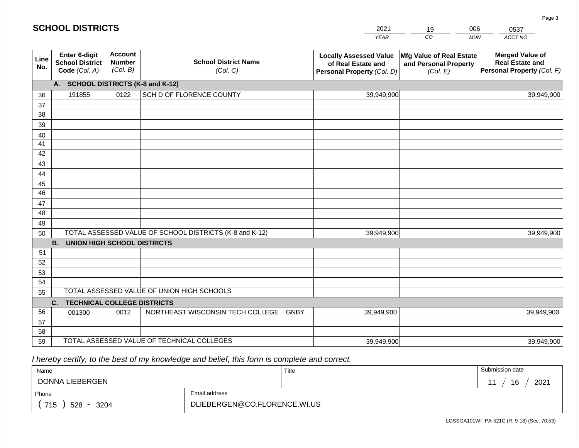| <b>SCHOOL DISTRICTS</b><br>2021<br>006<br>0537<br>19 |                                                          |                                             |                                                         |                                                                                   |  |                                                                      |            |                                                                                |
|------------------------------------------------------|----------------------------------------------------------|---------------------------------------------|---------------------------------------------------------|-----------------------------------------------------------------------------------|--|----------------------------------------------------------------------|------------|--------------------------------------------------------------------------------|
|                                                      |                                                          |                                             |                                                         | <b>YEAR</b>                                                                       |  | CO                                                                   | <b>MUN</b> | ACCT NO                                                                        |
| Line<br>No.                                          | Enter 6-digit<br><b>School District</b><br>Code (Col. A) | <b>Account</b><br><b>Number</b><br>(Col. B) | <b>School District Name</b><br>(Col. C)                 | <b>Locally Assessed Value</b><br>of Real Estate and<br>Personal Property (Col. D) |  | <b>Mfg Value of Real Estate</b><br>and Personal Property<br>(Col. E) |            | <b>Merged Value of</b><br><b>Real Estate and</b><br>Personal Property (Col. F) |
|                                                      | A.                                                       |                                             | <b>SCHOOL DISTRICTS (K-8 and K-12)</b>                  |                                                                                   |  |                                                                      |            |                                                                                |
| 36                                                   | 191855                                                   | 0122                                        | SCH D OF FLORENCE COUNTY                                | 39,949,900                                                                        |  |                                                                      |            | 39,949,900                                                                     |
| 37                                                   |                                                          |                                             |                                                         |                                                                                   |  |                                                                      |            |                                                                                |
| 38                                                   |                                                          |                                             |                                                         |                                                                                   |  |                                                                      |            |                                                                                |
| 39                                                   |                                                          |                                             |                                                         |                                                                                   |  |                                                                      |            |                                                                                |
| 40                                                   |                                                          |                                             |                                                         |                                                                                   |  |                                                                      |            |                                                                                |
| 41                                                   |                                                          |                                             |                                                         |                                                                                   |  |                                                                      |            |                                                                                |
| 42                                                   |                                                          |                                             |                                                         |                                                                                   |  |                                                                      |            |                                                                                |
| 43<br>44                                             |                                                          |                                             |                                                         |                                                                                   |  |                                                                      |            |                                                                                |
| 45                                                   |                                                          |                                             |                                                         |                                                                                   |  |                                                                      |            |                                                                                |
| 46                                                   |                                                          |                                             |                                                         |                                                                                   |  |                                                                      |            |                                                                                |
| 47                                                   |                                                          |                                             |                                                         |                                                                                   |  |                                                                      |            |                                                                                |
| 48                                                   |                                                          |                                             |                                                         |                                                                                   |  |                                                                      |            |                                                                                |
| 49                                                   |                                                          |                                             |                                                         |                                                                                   |  |                                                                      |            |                                                                                |
| 50                                                   |                                                          |                                             | TOTAL ASSESSED VALUE OF SCHOOL DISTRICTS (K-8 and K-12) | 39,949,900                                                                        |  |                                                                      |            | 39,949,900                                                                     |
|                                                      | <b>B. UNION HIGH SCHOOL DISTRICTS</b>                    |                                             |                                                         |                                                                                   |  |                                                                      |            |                                                                                |
| 51                                                   |                                                          |                                             |                                                         |                                                                                   |  |                                                                      |            |                                                                                |
| 52                                                   |                                                          |                                             |                                                         |                                                                                   |  |                                                                      |            |                                                                                |
| 53                                                   |                                                          |                                             |                                                         |                                                                                   |  |                                                                      |            |                                                                                |
| 54                                                   |                                                          |                                             | TOTAL ASSESSED VALUE OF UNION HIGH SCHOOLS              |                                                                                   |  |                                                                      |            |                                                                                |
| 55                                                   |                                                          |                                             |                                                         |                                                                                   |  |                                                                      |            |                                                                                |
|                                                      | <b>TECHNICAL COLLEGE DISTRICTS</b><br>C.                 |                                             |                                                         |                                                                                   |  |                                                                      |            |                                                                                |
| 56<br>57                                             | 001300                                                   | 0012                                        | NORTHEAST WISCONSIN TECH COLLEGE GNBY                   | 39,949,900                                                                        |  |                                                                      |            | 39,949,900                                                                     |
| 58                                                   |                                                          |                                             |                                                         |                                                                                   |  |                                                                      |            |                                                                                |
| 59                                                   |                                                          |                                             | TOTAL ASSESSED VALUE OF TECHNICAL COLLEGES              | 39,949,900                                                                        |  |                                                                      |            | 39,949,900                                                                     |

 *I hereby certify, to the best of my knowledge and belief, this form is complete and correct.*

| Name               |                              | Title | Submission date |
|--------------------|------------------------------|-------|-----------------|
| DONNA LIEBERGEN    |                              |       | 16<br>2021      |
| Phone              | Email address                |       |                 |
| 715<br>528<br>3204 | DLIEBERGEN@CO.FLORENCE.WI.US |       |                 |

LGSSOA101WI -PA-521C (R. 9-18) (Sec. 70.53)

Page 3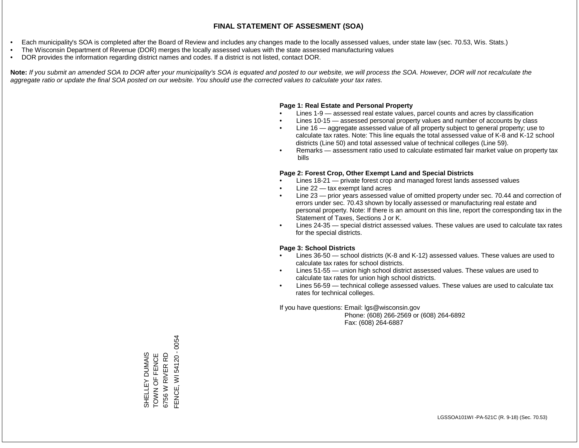- Each municipality's SOA is completed after the Board of Review and includes any changes made to the locally assessed values, under state law (sec. 70.53, Wis. Stats.)
- The Wisconsin Department of Revenue (DOR) merges the locally assessed values with the state assessed manufacturing values
- DOR provides the information regarding district names and codes. If a district is not listed, contact DOR.

Note: If you submit an amended SOA to DOR after your municipality's SOA is equated and posted to our website, we will process the SOA. However, DOR will not recalculate the *aggregate ratio or update the final SOA posted on our website. You should use the corrected values to calculate your tax rates.*

### **Page 1: Real Estate and Personal Property**

- Lines 1-9 assessed real estate values, parcel counts and acres by classification
- Lines 10-15 assessed personal property values and number of accounts by class
- Line 16 aggregate assessed value of all property subject to general property; use to calculate tax rates. Note: This line equals the total assessed value of K-8 and K-12 school districts (Line 50) and total assessed value of technical colleges (Line 59).
- Remarks assessment ratio used to calculate estimated fair market value on property tax bills

### **Page 2: Forest Crop, Other Exempt Land and Special Districts**

- Lines 18-21 private forest crop and managed forest lands assessed values
- Line  $22 -$  tax exempt land acres
- Line 23 prior years assessed value of omitted property under sec. 70.44 and correction of errors under sec. 70.43 shown by locally assessed or manufacturing real estate and personal property. Note: If there is an amount on this line, report the corresponding tax in the Statement of Taxes, Sections J or K.
- Lines 24-35 special district assessed values. These values are used to calculate tax rates for the special districts.

### **Page 3: School Districts**

- Lines 36-50 school districts (K-8 and K-12) assessed values. These values are used to calculate tax rates for school districts.
- Lines 51-55 union high school district assessed values. These values are used to calculate tax rates for union high school districts.
- Lines 56-59 technical college assessed values. These values are used to calculate tax rates for technical colleges.

If you have questions: Email: lgs@wisconsin.gov

 Phone: (608) 266-2569 or (608) 264-6892 Fax: (608) 264-6887

SHELLEY DUMAIS<br>TOWN OF FENCE<br>6756 W RIVER RD<br>FENCE, WI 54120 - 0054 FENCE, WI 54120 - 0054SHELLEY DUMAIS TOWN OF FENCE 6756 W RIVER RD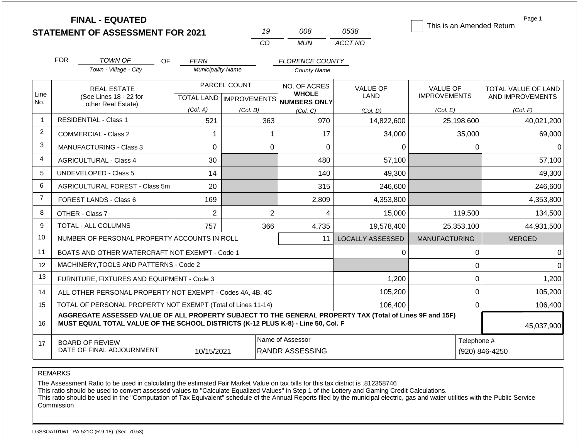|                |                                                                                  | <b>FINAL - EQUATED</b><br><b>STATEMENT OF ASSESSMENT FOR 2021</b>                                        |                          | 19                                        | 008                                          | 0538                           | This is an Amended Return              | Page 1                                  |
|----------------|----------------------------------------------------------------------------------|----------------------------------------------------------------------------------------------------------|--------------------------|-------------------------------------------|----------------------------------------------|--------------------------------|----------------------------------------|-----------------------------------------|
|                |                                                                                  |                                                                                                          |                          | CO                                        | <b>MUN</b>                                   | ACCT NO                        |                                        |                                         |
|                | <b>FOR</b>                                                                       | <b>TOWN OF</b><br>OF                                                                                     | <b>FERN</b>              |                                           | <b>FLORENCE COUNTY</b>                       |                                |                                        |                                         |
|                |                                                                                  | Town - Village - City                                                                                    | <b>Municipality Name</b> |                                           | <b>County Name</b>                           |                                |                                        |                                         |
| Line<br>No.    |                                                                                  | <b>REAL ESTATE</b><br>(See Lines 18 - 22 for                                                             |                          | PARCEL COUNT<br>TOTAL LAND   IMPROVEMENTS | NO. OF ACRES<br><b>WHOLE</b><br>NUMBERS ONLY | <b>VALUE OF</b><br><b>LAND</b> | <b>VALUE OF</b><br><b>IMPROVEMENTS</b> | TOTAL VALUE OF LAND<br>AND IMPROVEMENTS |
|                | other Real Estate)                                                               |                                                                                                          | (Col. A)                 | (Col. B)                                  | (Col. C)                                     | (Col. D)                       | (Col. E)                               | (Col. F)                                |
| $\overline{1}$ |                                                                                  | <b>RESIDENTIAL - Class 1</b>                                                                             | 521                      | 363                                       | 970                                          | 14,822,600                     | 25,198,600                             | 40,021,200                              |
| 2              |                                                                                  | <b>COMMERCIAL - Class 2</b>                                                                              | $\mathbf 1$              | $\mathbf 1$                               | 17                                           | 34,000                         | 35,000                                 | 69,000                                  |
| 3              |                                                                                  | <b>MANUFACTURING - Class 3</b>                                                                           | $\overline{0}$           | $\mathbf 0$                               | $\mathbf 0$                                  | 0                              | 0                                      | $\Omega$                                |
| $\overline{4}$ |                                                                                  | <b>AGRICULTURAL - Class 4</b>                                                                            | 30                       |                                           | 480                                          | 57,100                         |                                        | 57,100                                  |
| 5              |                                                                                  | <b>UNDEVELOPED - Class 5</b>                                                                             | 14                       |                                           | 140                                          | 49,300                         |                                        | 49,300                                  |
| 6              |                                                                                  | AGRICULTURAL FOREST - Class 5m                                                                           | 20                       |                                           | 315                                          | 246,600                        |                                        | 246,600                                 |
| $\overline{7}$ |                                                                                  | FOREST LANDS - Class 6                                                                                   | 169                      |                                           | 2,809                                        | 4,353,800                      |                                        | 4,353,800                               |
| 8              |                                                                                  | OTHER - Class 7                                                                                          | $\overline{2}$           | $\overline{2}$                            | 4                                            | 15,000                         | 119,500                                | 134,500                                 |
| 9              |                                                                                  | <b>TOTAL - ALL COLUMNS</b>                                                                               | 757                      | 366                                       | 4,735                                        | 19,578,400                     | 25,353,100                             | 44,931,500                              |
| 10             |                                                                                  | NUMBER OF PERSONAL PROPERTY ACCOUNTS IN ROLL                                                             |                          |                                           | 11                                           | <b>LOCALLY ASSESSED</b>        | <b>MANUFACTURING</b>                   | <b>MERGED</b>                           |
| 11             |                                                                                  | BOATS AND OTHER WATERCRAFT NOT EXEMPT - Code 1                                                           |                          |                                           |                                              | 0                              | 0                                      | $\Omega$                                |
| 12             |                                                                                  | MACHINERY, TOOLS AND PATTERNS - Code 2                                                                   |                          |                                           |                                              |                                | 0                                      | $\Omega$                                |
| 13             |                                                                                  | FURNITURE, FIXTURES AND EQUIPMENT - Code 3                                                               |                          |                                           |                                              | 1,200                          | 0                                      | 1,200                                   |
| 14             |                                                                                  | ALL OTHER PERSONAL PROPERTY NOT EXEMPT - Codes 4A, 4B, 4C                                                |                          |                                           |                                              | 105,200                        | $\Omega$                               | 105,200                                 |
| 15             |                                                                                  | TOTAL OF PERSONAL PROPERTY NOT EXEMPT (Total of Lines 11-14)                                             |                          |                                           |                                              | 106,400                        | $\overline{0}$                         | 106,400                                 |
| 16             | MUST EQUAL TOTAL VALUE OF THE SCHOOL DISTRICTS (K-12 PLUS K-8) - Line 50, Col. F | AGGREGATE ASSESSED VALUE OF ALL PROPERTY SUBJECT TO THE GENERAL PROPERTY TAX (Total of Lines 9F and 15F) | 45,037,900               |                                           |                                              |                                |                                        |                                         |
| 17             | <b>BOARD OF REVIEW</b><br>DATE OF FINAL ADJOURNMENT                              | Telephone #                                                                                              | (920) 846-4250           |                                           |                                              |                                |                                        |                                         |

The Assessment Ratio to be used in calculating the estimated Fair Market Value on tax bills for this tax district is .812358746

This ratio should be used to convert assessed values to "Calculate Equalized Values" in Step 1 of the Lottery and Gaming Credit Calculations.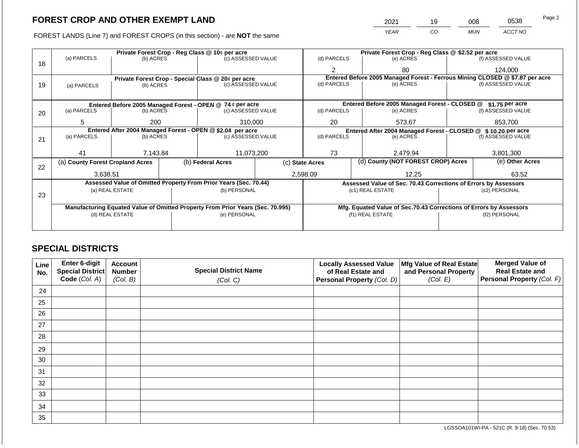FOREST LANDS (Line 7) and FOREST CROPS (in this section) - are NOT the same

| 2021 | 19 | 008        | 0538    | Page 2 |
|------|----|------------|---------|--------|
| YEAR | CО | <b>MUN</b> | ACCT NO |        |

|    |                                                            |                 |  | Private Forest Crop - Reg Class @ 10¢ per acre                                 |  |                                                                              | Private Forest Crop - Reg Class @ \$2.52 per acre                  |  |                    |  |  |
|----|------------------------------------------------------------|-----------------|--|--------------------------------------------------------------------------------|--|------------------------------------------------------------------------------|--------------------------------------------------------------------|--|--------------------|--|--|
| 18 | (a) PARCELS                                                | (b) ACRES       |  | (c) ASSESSED VALUE                                                             |  | (d) PARCELS                                                                  | (e) ACRES                                                          |  | (f) ASSESSED VALUE |  |  |
|    |                                                            |                 |  |                                                                                |  | 2                                                                            | 80                                                                 |  | 124,000            |  |  |
|    |                                                            |                 |  | Private Forest Crop - Special Class @ 20¢ per acre                             |  | Entered Before 2005 Managed Forest - Ferrous Mining CLOSED @ \$7.87 per acre |                                                                    |  |                    |  |  |
| 19 | (a) PARCELS                                                | (b) ACRES       |  | (c) ASSESSED VALUE                                                             |  | (d) PARCELS                                                                  | (e) ACRES                                                          |  | (f) ASSESSED VALUE |  |  |
|    |                                                            |                 |  |                                                                                |  |                                                                              |                                                                    |  |                    |  |  |
|    |                                                            |                 |  | Entered Before 2005 Managed Forest - OPEN @ 74 ¢ per acre                      |  |                                                                              | Entered Before 2005 Managed Forest - CLOSED @                      |  | $$1.75$ per acre   |  |  |
| 20 | (a) PARCELS                                                | (b) ACRES       |  | (c) ASSESSED VALUE                                                             |  | (d) PARCELS                                                                  | (e) ACRES                                                          |  | (f) ASSESSED VALUE |  |  |
|    |                                                            |                 |  |                                                                                |  |                                                                              |                                                                    |  |                    |  |  |
|    | 5                                                          | 200             |  | 310,000                                                                        |  | 20                                                                           | 573.67                                                             |  | 853,700            |  |  |
|    | Entered After 2004 Managed Forest - OPEN @ \$2.04 per acre |                 |  |                                                                                |  |                                                                              | Entered After 2004 Managed Forest - CLOSED @ \$10.20 per acre      |  |                    |  |  |
| 21 | (a) PARCELS                                                | (b) ACRES       |  | (c) ASSESSED VALUE                                                             |  | (d) PARCELS                                                                  | (e) ACRES                                                          |  | (f) ASSESSED VALUE |  |  |
|    |                                                            |                 |  |                                                                                |  |                                                                              |                                                                    |  |                    |  |  |
|    | 41                                                         | 7,143.84        |  | 11,073,200                                                                     |  | 73<br>2.479.94                                                               |                                                                    |  | 3.801.300          |  |  |
| 22 | (a) County Forest Cropland Acres                           |                 |  | (b) Federal Acres                                                              |  | (c) State Acres                                                              | (d) County (NOT FOREST CROP) Acres                                 |  | (e) Other Acres    |  |  |
|    | 3,638.51                                                   |                 |  |                                                                                |  | 2,598.09                                                                     | 12.25                                                              |  | 63.52              |  |  |
|    |                                                            |                 |  | Assessed Value of Omitted Property From Prior Years (Sec. 70.44)               |  |                                                                              | Assessed Value of Sec. 70.43 Corrections of Errors by Assessors    |  |                    |  |  |
|    |                                                            | (a) REAL ESTATE |  | (b) PERSONAL                                                                   |  |                                                                              | (c1) REAL ESTATE                                                   |  | (c2) PERSONAL      |  |  |
| 23 |                                                            |                 |  |                                                                                |  |                                                                              |                                                                    |  |                    |  |  |
|    |                                                            |                 |  | Manufacturing Equated Value of Omitted Property From Prior Years (Sec. 70.995) |  |                                                                              | Mfg. Equated Value of Sec.70.43 Corrections of Errors by Assessors |  |                    |  |  |
|    |                                                            | (d) REAL ESTATE |  | (e) PERSONAL                                                                   |  |                                                                              | (f1) REAL ESTATE                                                   |  | (f2) PERSONAL      |  |  |
|    |                                                            |                 |  |                                                                                |  |                                                                              |                                                                    |  |                    |  |  |
|    |                                                            |                 |  |                                                                                |  |                                                                              |                                                                    |  |                    |  |  |

# **SPECIAL DISTRICTS**

| Line<br>No. | Enter 6-digit<br>Special District<br>Code (Col. A) | <b>Account</b><br><b>Number</b><br>(Col. B) | <b>Special District Name</b><br>(Col. C) | <b>Locally Assessed Value</b><br>of Real Estate and<br>Personal Property (Col. D) | Mfg Value of Real Estate<br>and Personal Property<br>(Col. E) | <b>Merged Value of</b><br><b>Real Estate and</b><br>Personal Property (Col. F) |
|-------------|----------------------------------------------------|---------------------------------------------|------------------------------------------|-----------------------------------------------------------------------------------|---------------------------------------------------------------|--------------------------------------------------------------------------------|
| 24          |                                                    |                                             |                                          |                                                                                   |                                                               |                                                                                |
| 25          |                                                    |                                             |                                          |                                                                                   |                                                               |                                                                                |
| 26          |                                                    |                                             |                                          |                                                                                   |                                                               |                                                                                |
| 27          |                                                    |                                             |                                          |                                                                                   |                                                               |                                                                                |
| 28          |                                                    |                                             |                                          |                                                                                   |                                                               |                                                                                |
| 29          |                                                    |                                             |                                          |                                                                                   |                                                               |                                                                                |
| 30          |                                                    |                                             |                                          |                                                                                   |                                                               |                                                                                |
| 31          |                                                    |                                             |                                          |                                                                                   |                                                               |                                                                                |
| 32          |                                                    |                                             |                                          |                                                                                   |                                                               |                                                                                |
| 33          |                                                    |                                             |                                          |                                                                                   |                                                               |                                                                                |
| 34          |                                                    |                                             |                                          |                                                                                   |                                                               |                                                                                |
| 35          |                                                    |                                             |                                          |                                                                                   |                                                               |                                                                                |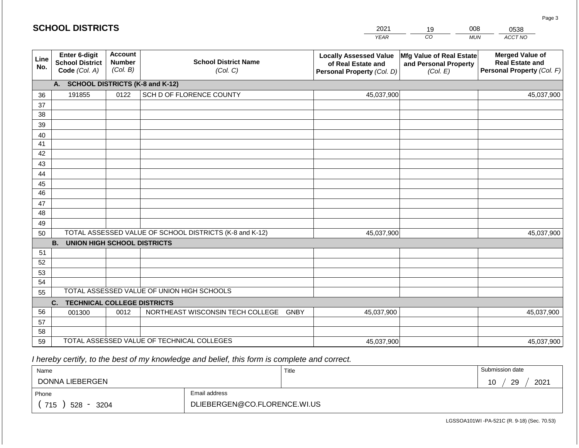|             | <b>SCHOOL DISTRICTS</b><br>2021<br>008<br>0538<br>19     |                                             |                                                         |                                                                                   |                                                                      |            |                                                                                |
|-------------|----------------------------------------------------------|---------------------------------------------|---------------------------------------------------------|-----------------------------------------------------------------------------------|----------------------------------------------------------------------|------------|--------------------------------------------------------------------------------|
|             |                                                          |                                             |                                                         | <b>YEAR</b>                                                                       | CO                                                                   | <b>MUN</b> | ACCT NO                                                                        |
| Line<br>No. | Enter 6-digit<br><b>School District</b><br>Code (Col. A) | <b>Account</b><br><b>Number</b><br>(Col. B) | <b>School District Name</b><br>(Col. C)                 | <b>Locally Assessed Value</b><br>of Real Estate and<br>Personal Property (Col. D) | <b>Mfg Value of Real Estate</b><br>and Personal Property<br>(Col. E) |            | <b>Merged Value of</b><br><b>Real Estate and</b><br>Personal Property (Col. F) |
|             | A.                                                       |                                             | <b>SCHOOL DISTRICTS (K-8 and K-12)</b>                  |                                                                                   |                                                                      |            |                                                                                |
| 36          | 191855                                                   | 0122                                        | SCH D OF FLORENCE COUNTY                                | 45,037,900                                                                        |                                                                      |            | 45,037,900                                                                     |
| 37          |                                                          |                                             |                                                         |                                                                                   |                                                                      |            |                                                                                |
| 38          |                                                          |                                             |                                                         |                                                                                   |                                                                      |            |                                                                                |
| 39          |                                                          |                                             |                                                         |                                                                                   |                                                                      |            |                                                                                |
| 40          |                                                          |                                             |                                                         |                                                                                   |                                                                      |            |                                                                                |
| 41<br>42    |                                                          |                                             |                                                         |                                                                                   |                                                                      |            |                                                                                |
| 43          |                                                          |                                             |                                                         |                                                                                   |                                                                      |            |                                                                                |
| 44          |                                                          |                                             |                                                         |                                                                                   |                                                                      |            |                                                                                |
| 45          |                                                          |                                             |                                                         |                                                                                   |                                                                      |            |                                                                                |
| 46          |                                                          |                                             |                                                         |                                                                                   |                                                                      |            |                                                                                |
| 47          |                                                          |                                             |                                                         |                                                                                   |                                                                      |            |                                                                                |
| 48          |                                                          |                                             |                                                         |                                                                                   |                                                                      |            |                                                                                |
| 49          |                                                          |                                             |                                                         |                                                                                   |                                                                      |            |                                                                                |
| 50          |                                                          |                                             | TOTAL ASSESSED VALUE OF SCHOOL DISTRICTS (K-8 and K-12) | 45,037,900                                                                        |                                                                      |            | 45,037,900                                                                     |
|             | <b>B. UNION HIGH SCHOOL DISTRICTS</b>                    |                                             |                                                         |                                                                                   |                                                                      |            |                                                                                |
| 51          |                                                          |                                             |                                                         |                                                                                   |                                                                      |            |                                                                                |
| 52          |                                                          |                                             |                                                         |                                                                                   |                                                                      |            |                                                                                |
| 53          |                                                          |                                             |                                                         |                                                                                   |                                                                      |            |                                                                                |
| 54          |                                                          |                                             | TOTAL ASSESSED VALUE OF UNION HIGH SCHOOLS              |                                                                                   |                                                                      |            |                                                                                |
| 55          |                                                          |                                             |                                                         |                                                                                   |                                                                      |            |                                                                                |
| 56          | C.<br><b>TECHNICAL COLLEGE DISTRICTS</b>                 |                                             |                                                         |                                                                                   |                                                                      |            |                                                                                |
| 57          | 001300                                                   | 0012                                        | NORTHEAST WISCONSIN TECH COLLEGE GNBY                   | 45,037,900                                                                        |                                                                      |            | 45,037,900                                                                     |
| 58          |                                                          |                                             |                                                         |                                                                                   |                                                                      |            |                                                                                |
| 59          |                                                          |                                             | TOTAL ASSESSED VALUE OF TECHNICAL COLLEGES              | 45,037,900                                                                        |                                                                      |            | 45,037,900                                                                     |

 *I hereby certify, to the best of my knowledge and belief, this form is complete and correct.*

| Name               |                              | Title | Submission date  |
|--------------------|------------------------------|-------|------------------|
| DONNA LIEBERGEN    |                              |       | 2021<br>29<br>10 |
| Phone              | Email address                |       |                  |
| 715<br>528<br>3204 | DLIEBERGEN@CO.FLORENCE.WI.US |       |                  |

Page 3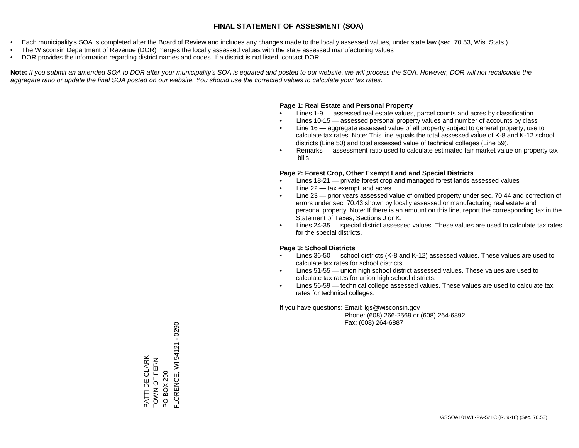- Each municipality's SOA is completed after the Board of Review and includes any changes made to the locally assessed values, under state law (sec. 70.53, Wis. Stats.)
- The Wisconsin Department of Revenue (DOR) merges the locally assessed values with the state assessed manufacturing values
- DOR provides the information regarding district names and codes. If a district is not listed, contact DOR.

Note: If you submit an amended SOA to DOR after your municipality's SOA is equated and posted to our website, we will process the SOA. However, DOR will not recalculate the *aggregate ratio or update the final SOA posted on our website. You should use the corrected values to calculate your tax rates.*

### **Page 1: Real Estate and Personal Property**

- Lines 1-9 assessed real estate values, parcel counts and acres by classification
- Lines 10-15 assessed personal property values and number of accounts by class
- Line 16 aggregate assessed value of all property subject to general property; use to calculate tax rates. Note: This line equals the total assessed value of K-8 and K-12 school districts (Line 50) and total assessed value of technical colleges (Line 59).
- Remarks assessment ratio used to calculate estimated fair market value on property tax bills

### **Page 2: Forest Crop, Other Exempt Land and Special Districts**

- Lines 18-21 private forest crop and managed forest lands assessed values
- Line  $22 -$  tax exempt land acres
- Line 23 prior years assessed value of omitted property under sec. 70.44 and correction of errors under sec. 70.43 shown by locally assessed or manufacturing real estate and personal property. Note: If there is an amount on this line, report the corresponding tax in the Statement of Taxes, Sections J or K.
- Lines 24-35 special district assessed values. These values are used to calculate tax rates for the special districts.

### **Page 3: School Districts**

- Lines 36-50 school districts (K-8 and K-12) assessed values. These values are used to calculate tax rates for school districts.
- Lines 51-55 union high school district assessed values. These values are used to calculate tax rates for union high school districts.
- Lines 56-59 technical college assessed values. These values are used to calculate tax rates for technical colleges.

If you have questions: Email: lgs@wisconsin.gov

 Phone: (608) 266-2569 or (608) 264-6892 Fax: (608) 264-6887

PATTI DE CLARK TOWN OF FERN PATTI DE CLARK<br>TOWN OF FERN<br>PO BOX 290<br>FLORENCE, WI 54121 - 0290 FLORENCE, WI 54121 - 0290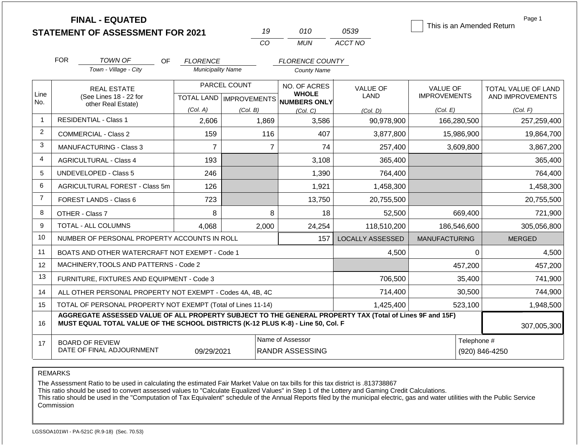|                |                                                                                                                                                                                              | <b>FINAL - EQUATED</b><br><b>STATEMENT OF ASSESSMENT FOR 2021</b> |                                             |              | 19             | 010                                                 | 0539                    | This is an Amended Return | Page 1                        |
|----------------|----------------------------------------------------------------------------------------------------------------------------------------------------------------------------------------------|-------------------------------------------------------------------|---------------------------------------------|--------------|----------------|-----------------------------------------------------|-------------------------|---------------------------|-------------------------------|
|                |                                                                                                                                                                                              |                                                                   |                                             | CO           |                | <b>MUN</b>                                          | ACCT NO                 |                           |                               |
|                |                                                                                                                                                                                              |                                                                   |                                             |              |                |                                                     |                         |                           |                               |
|                | <b>FOR</b>                                                                                                                                                                                   | TOWN OF<br>OF<br>Town - Village - City                            | <b>FLORENCE</b><br><b>Municipality Name</b> |              |                | <b>FLORENCE COUNTY</b>                              |                         |                           |                               |
|                |                                                                                                                                                                                              |                                                                   |                                             |              |                | <b>County Name</b>                                  |                         |                           |                               |
|                |                                                                                                                                                                                              | <b>REAL ESTATE</b>                                                |                                             | PARCEL COUNT |                | NO. OF ACRES                                        | <b>VALUE OF</b>         | <b>VALUE OF</b>           | TOTAL VALUE OF LAND           |
| Line<br>No.    |                                                                                                                                                                                              | (See Lines 18 - 22 for<br>other Real Estate)                      |                                             |              |                | <b>WHOLE</b><br>TOTAL LAND MPROVEMENTS NUMBERS ONLY | LAND                    | <b>IMPROVEMENTS</b>       | AND IMPROVEMENTS              |
|                |                                                                                                                                                                                              |                                                                   | (Col. A)                                    | (Col. B)     |                | (Col. C)                                            | (Col. D)                | (Col. E)                  | (Col. F)                      |
| $\overline{1}$ |                                                                                                                                                                                              | <b>RESIDENTIAL - Class 1</b>                                      | 2,606                                       | 1,869        |                | 3,586                                               | 90,978,900              | 166,280,500               | 257,259,400                   |
| 2              |                                                                                                                                                                                              | <b>COMMERCIAL - Class 2</b>                                       | 159                                         |              | 116            | 407                                                 | 3,877,800               | 15,986,900                | 19,864,700                    |
| 3              |                                                                                                                                                                                              | <b>MANUFACTURING - Class 3</b>                                    | $\overline{7}$                              |              | $\overline{7}$ | 74                                                  | 257,400                 | 3,609,800                 | 3,867,200                     |
| $\overline{4}$ |                                                                                                                                                                                              | <b>AGRICULTURAL - Class 4</b>                                     | 193                                         |              |                | 3,108                                               | 365,400                 |                           | 365,400                       |
| 5              |                                                                                                                                                                                              | <b>UNDEVELOPED - Class 5</b>                                      | 246                                         |              |                | 1,390                                               | 764,400                 |                           | 764,400                       |
| 6              |                                                                                                                                                                                              | AGRICULTURAL FOREST - Class 5m                                    | 126                                         |              |                | 1,921                                               | 1,458,300               |                           | 1,458,300                     |
| $\overline{7}$ |                                                                                                                                                                                              | <b>FOREST LANDS - Class 6</b>                                     | 723                                         |              |                | 13,750                                              | 20,755,500              |                           | 20,755,500                    |
| 8              |                                                                                                                                                                                              | OTHER - Class 7                                                   | 8                                           |              | 8              | 18                                                  | 52,500                  | 669,400                   | 721,900                       |
| 9              |                                                                                                                                                                                              | TOTAL - ALL COLUMNS                                               | 4,068                                       | 2,000        |                | 24,254                                              | 118,510,200             | 186,546,600               | 305,056,800                   |
| 10             |                                                                                                                                                                                              | NUMBER OF PERSONAL PROPERTY ACCOUNTS IN ROLL                      |                                             |              |                | 157                                                 | <b>LOCALLY ASSESSED</b> | <b>MANUFACTURING</b>      | <b>MERGED</b>                 |
| 11             |                                                                                                                                                                                              | BOATS AND OTHER WATERCRAFT NOT EXEMPT - Code 1                    |                                             |              |                |                                                     | 4,500                   |                           | 0<br>4,500                    |
| 12             |                                                                                                                                                                                              | MACHINERY, TOOLS AND PATTERNS - Code 2                            |                                             |              |                |                                                     |                         | 457,200                   | 457,200                       |
| 13             |                                                                                                                                                                                              | FURNITURE, FIXTURES AND EQUIPMENT - Code 3                        |                                             |              |                |                                                     | 706,500                 | 35,400                    | 741,900                       |
| 14             |                                                                                                                                                                                              | ALL OTHER PERSONAL PROPERTY NOT EXEMPT - Codes 4A, 4B, 4C         |                                             |              |                | 714,400                                             | 30,500                  | 744,900                   |                               |
| 15             | TOTAL OF PERSONAL PROPERTY NOT EXEMPT (Total of Lines 11-14)                                                                                                                                 |                                                                   |                                             |              |                |                                                     | 1,425,400               | 523,100                   | 1,948,500                     |
| 16             | AGGREGATE ASSESSED VALUE OF ALL PROPERTY SUBJECT TO THE GENERAL PROPERTY TAX (Total of Lines 9F and 15F)<br>MUST EQUAL TOTAL VALUE OF THE SCHOOL DISTRICTS (K-12 PLUS K-8) - Line 50, Col. F |                                                                   |                                             |              |                |                                                     |                         |                           | 307,005,300                   |
| 17             | Name of Assessor<br><b>BOARD OF REVIEW</b><br>DATE OF FINAL ADJOURNMENT<br><b>RANDR ASSESSING</b><br>09/29/2021                                                                              |                                                                   |                                             |              |                |                                                     |                         |                           | Telephone #<br>(920) 846-4250 |

The Assessment Ratio to be used in calculating the estimated Fair Market Value on tax bills for this tax district is .813738867

This ratio should be used to convert assessed values to "Calculate Equalized Values" in Step 1 of the Lottery and Gaming Credit Calculations.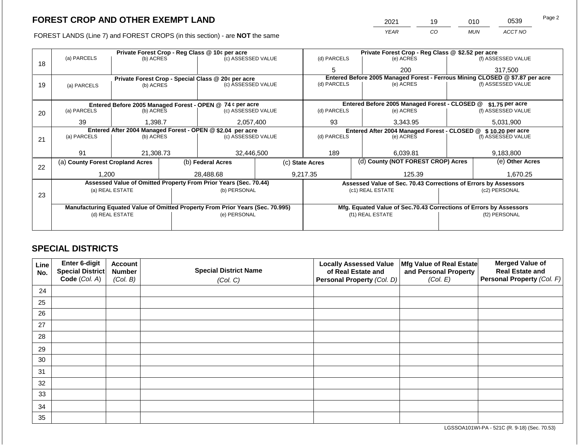FOREST LANDS (Line 7) and FOREST CROPS (in this section) - are NOT the same

| 2021 | 19 | 010        | 0539    | Page 2 |
|------|----|------------|---------|--------|
| YEAR | CO | <b>MUN</b> | ACCT NO |        |

|    |                                                            |                 |  | Private Forest Crop - Reg Class @ 10¢ per acre                                 |                    | Private Forest Crop - Reg Class @ \$2.52 per acre                            |                          |                                                                    |                 |                    |  |
|----|------------------------------------------------------------|-----------------|--|--------------------------------------------------------------------------------|--------------------|------------------------------------------------------------------------------|--------------------------|--------------------------------------------------------------------|-----------------|--------------------|--|
| 18 | (a) PARCELS                                                | (b) ACRES       |  | (c) ASSESSED VALUE                                                             |                    | (d) PARCELS                                                                  |                          | (e) ACRES                                                          |                 | (f) ASSESSED VALUE |  |
|    |                                                            |                 |  |                                                                                |                    | 5                                                                            |                          | 200                                                                |                 | 317,500            |  |
|    |                                                            |                 |  | Private Forest Crop - Special Class @ 20¢ per acre                             |                    | Entered Before 2005 Managed Forest - Ferrous Mining CLOSED @ \$7.87 per acre |                          |                                                                    |                 |                    |  |
| 19 | (a) PARCELS                                                | (b) ACRES       |  | (c) ASSESSED VALUE                                                             |                    | (d) PARCELS                                                                  |                          | (e) ACRES                                                          |                 | (f) ASSESSED VALUE |  |
|    |                                                            |                 |  |                                                                                |                    |                                                                              |                          |                                                                    |                 |                    |  |
|    |                                                            |                 |  | Entered Before 2005 Managed Forest - OPEN @ 74 ¢ per acre                      |                    |                                                                              |                          | Entered Before 2005 Managed Forest - CLOSED @                      |                 | $$1.75$ per acre   |  |
| 20 | (a) PARCELS                                                | (b) ACRES       |  | (c) ASSESSED VALUE                                                             |                    | (d) PARCELS                                                                  |                          | (e) ACRES                                                          |                 | (f) ASSESSED VALUE |  |
|    |                                                            |                 |  | 93                                                                             |                    |                                                                              |                          |                                                                    |                 |                    |  |
|    |                                                            | 39<br>1,398.7   |  |                                                                                | 2,057,400          |                                                                              |                          | 3,343.95                                                           |                 | 5,031,900          |  |
|    | Entered After 2004 Managed Forest - OPEN @ \$2.04 per acre |                 |  |                                                                                |                    |                                                                              |                          | Entered After 2004 Managed Forest - CLOSED @ \$10.20 per acre      |                 |                    |  |
| 21 | (a) PARCELS                                                | (b) ACRES       |  |                                                                                | (c) ASSESSED VALUE |                                                                              | (d) PARCELS<br>(e) ACRES |                                                                    |                 | (f) ASSESSED VALUE |  |
|    |                                                            |                 |  |                                                                                |                    |                                                                              |                          |                                                                    |                 |                    |  |
|    | 91                                                         | 21.308.73       |  | 32.446.500                                                                     |                    | 189                                                                          |                          | 6.039.81                                                           |                 | 9.183.800          |  |
| 22 | (a) County Forest Cropland Acres                           |                 |  | (b) Federal Acres                                                              |                    | (d) County (NOT FOREST CROP) Acres<br>(c) State Acres                        |                          |                                                                    | (e) Other Acres |                    |  |
|    | 1,200                                                      |                 |  | 28,488.68                                                                      |                    | 9,217.35                                                                     |                          | 125.39                                                             |                 | 1,670.25           |  |
|    |                                                            |                 |  | Assessed Value of Omitted Property From Prior Years (Sec. 70.44)               |                    |                                                                              |                          | Assessed Value of Sec. 70.43 Corrections of Errors by Assessors    |                 |                    |  |
|    |                                                            | (a) REAL ESTATE |  | (b) PERSONAL                                                                   |                    |                                                                              |                          | (c1) REAL ESTATE                                                   |                 | (c2) PERSONAL      |  |
| 23 |                                                            |                 |  |                                                                                |                    |                                                                              |                          |                                                                    |                 |                    |  |
|    |                                                            |                 |  | Manufacturing Equated Value of Omitted Property From Prior Years (Sec. 70.995) |                    |                                                                              |                          | Mfg. Equated Value of Sec.70.43 Corrections of Errors by Assessors |                 |                    |  |
|    |                                                            | (d) REAL ESTATE |  | (e) PERSONAL                                                                   |                    | (f1) REAL ESTATE                                                             |                          |                                                                    | (f2) PERSONAL   |                    |  |
|    |                                                            |                 |  |                                                                                |                    |                                                                              |                          |                                                                    |                 |                    |  |
|    |                                                            |                 |  |                                                                                |                    |                                                                              |                          |                                                                    |                 |                    |  |

# **SPECIAL DISTRICTS**

| Line<br>No. | Enter 6-digit<br>Special District<br>Code (Col. A) | <b>Account</b><br><b>Number</b><br>(Col. B) | <b>Special District Name</b><br>(Col. C) | <b>Locally Assessed Value</b><br>of Real Estate and<br>Personal Property (Col. D) | Mfg Value of Real Estate<br>and Personal Property<br>(Col. E) | <b>Merged Value of</b><br><b>Real Estate and</b><br>Personal Property (Col. F) |
|-------------|----------------------------------------------------|---------------------------------------------|------------------------------------------|-----------------------------------------------------------------------------------|---------------------------------------------------------------|--------------------------------------------------------------------------------|
| 24          |                                                    |                                             |                                          |                                                                                   |                                                               |                                                                                |
| 25          |                                                    |                                             |                                          |                                                                                   |                                                               |                                                                                |
| 26          |                                                    |                                             |                                          |                                                                                   |                                                               |                                                                                |
| 27          |                                                    |                                             |                                          |                                                                                   |                                                               |                                                                                |
| 28          |                                                    |                                             |                                          |                                                                                   |                                                               |                                                                                |
| 29          |                                                    |                                             |                                          |                                                                                   |                                                               |                                                                                |
| 30          |                                                    |                                             |                                          |                                                                                   |                                                               |                                                                                |
| 31          |                                                    |                                             |                                          |                                                                                   |                                                               |                                                                                |
| 32          |                                                    |                                             |                                          |                                                                                   |                                                               |                                                                                |
| 33          |                                                    |                                             |                                          |                                                                                   |                                                               |                                                                                |
| 34          |                                                    |                                             |                                          |                                                                                   |                                                               |                                                                                |
| 35          |                                                    |                                             |                                          |                                                                                   |                                                               |                                                                                |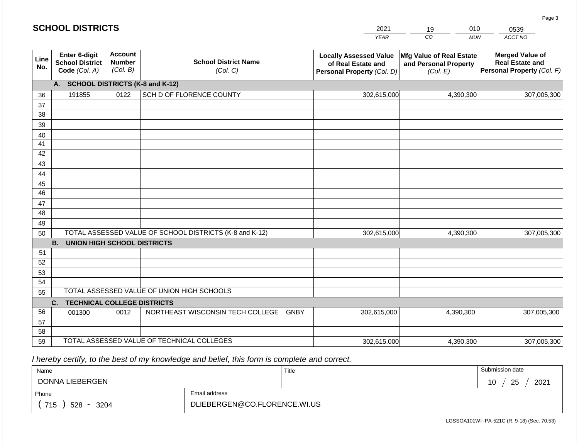#### *YEAR*  2021  $\overline{co}$ 19 *MUN ACCT NO*  0539 **Line No. Enter 6-digit School District Code** *(Col. A)* **Account Number** *(Col. B)* **School District Name** *(Col. C)* **Locally Assessed Value of Real Estate and Personal Property** *(Col. D)* **Mfg Value of Real Estate and Personal Property** *(Col. E)* **Merged Value of Real Estate and Personal Property** *(Col. F)* **A. SCHOOL DISTRICTS (K-8 and K-12)** 36 37 38 39 40 41 42 43 44 45 46 47 48 49 50 TOTAL ASSESSED VALUE OF SCHOOL DISTRICTS (K-8 and K-12) **B. UNION HIGH SCHOOL DISTRICTS** 51 52 53 54 55 **C. TECHNICAL COLLEGE DISTRICTS** 56 57 58 59 TOTAL ASSESSED VALUE OF TECHNICAL COLLEGES TOTAL ASSESSED VALUE OF UNION HIGH SCHOOLS 191855 0122 SCH D OF FLORENCE COUNTY 302,615,000 302,615,000 001300 | 0012 | NORTHEAST WISCONSIN TECH COLLEGE GNBY 302,615,000 4,390,300 307,005,300 4,390,300 307,005,300 4,390,300 307,005,300 302,615,000 4,390,300 4,390,300

 *I hereby certify, to the best of my knowledge and belief, this form is complete and correct.*

| Name               |                              | Title | Submission date  |
|--------------------|------------------------------|-------|------------------|
| DONNA LIEBERGEN    |                              |       | 25<br>2021<br>ັບ |
| Phone              | Email address                |       |                  |
| 715<br>528<br>3204 | DLIEBERGEN@CO.FLORENCE.WI.US |       |                  |

LGSSOA101WI -PA-521C (R. 9-18) (Sec. 70.53)

Page 3

| <b>SCHOOL DISTRICTS</b> |  |
|-------------------------|--|
|-------------------------|--|

010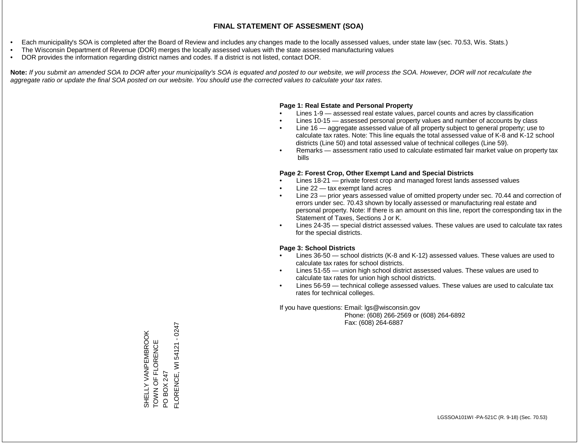- Each municipality's SOA is completed after the Board of Review and includes any changes made to the locally assessed values, under state law (sec. 70.53, Wis. Stats.)
- The Wisconsin Department of Revenue (DOR) merges the locally assessed values with the state assessed manufacturing values
- DOR provides the information regarding district names and codes. If a district is not listed, contact DOR.

Note: If you submit an amended SOA to DOR after your municipality's SOA is equated and posted to our website, we will process the SOA. However, DOR will not recalculate the *aggregate ratio or update the final SOA posted on our website. You should use the corrected values to calculate your tax rates.*

#### **Page 1: Real Estate and Personal Property**

- Lines 1-9 assessed real estate values, parcel counts and acres by classification
- Lines 10-15 assessed personal property values and number of accounts by class
- Line 16 aggregate assessed value of all property subject to general property; use to calculate tax rates. Note: This line equals the total assessed value of K-8 and K-12 school districts (Line 50) and total assessed value of technical colleges (Line 59).
- Remarks assessment ratio used to calculate estimated fair market value on property tax bills

#### **Page 2: Forest Crop, Other Exempt Land and Special Districts**

- Lines 18-21 private forest crop and managed forest lands assessed values
- Line  $22 -$  tax exempt land acres
- Line 23 prior years assessed value of omitted property under sec. 70.44 and correction of errors under sec. 70.43 shown by locally assessed or manufacturing real estate and personal property. Note: If there is an amount on this line, report the corresponding tax in the Statement of Taxes, Sections J or K.
- Lines 24-35 special district assessed values. These values are used to calculate tax rates for the special districts.

#### **Page 3: School Districts**

- Lines 36-50 school districts (K-8 and K-12) assessed values. These values are used to calculate tax rates for school districts.
- Lines 51-55 union high school district assessed values. These values are used to calculate tax rates for union high school districts.
- Lines 56-59 technical college assessed values. These values are used to calculate tax rates for technical colleges.

If you have questions: Email: lgs@wisconsin.gov

 Phone: (608) 266-2569 or (608) 264-6892 Fax: (608) 264-6887

SHELLY VANPEMBROOK TOWN OF FLORENCE SHELLY VANPEMBROOK<br>TOWN OF FLORENCE<br>PO BOX 247<br>FLORENCE, WI 54121 - 0247 FLORENCE, WI 54121 - 0247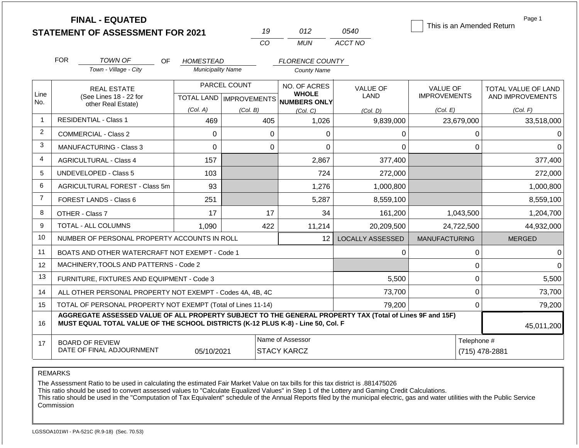|                | <b>FINAL - EQUATED</b><br><b>STATEMENT OF ASSESSMENT FOR 2021</b>                                                                                                                            |                               | 19       | 012                                                 | 0540                           | Page 1<br>This is an Amended Return    |                                         |  |
|----------------|----------------------------------------------------------------------------------------------------------------------------------------------------------------------------------------------|-------------------------------|----------|-----------------------------------------------------|--------------------------------|----------------------------------------|-----------------------------------------|--|
|                |                                                                                                                                                                                              |                               | CO       | <b>MUN</b>                                          | ACCT NO                        |                                        |                                         |  |
|                | <b>FOR</b><br>TOWN OF<br>OF.                                                                                                                                                                 | <b>HOMESTEAD</b>              |          | <b>FLORENCE COUNTY</b>                              |                                |                                        |                                         |  |
|                | Town - Village - City                                                                                                                                                                        | <b>Municipality Name</b>      |          | <b>County Name</b>                                  |                                |                                        |                                         |  |
| Line<br>No.    | PARCEL COUNT<br><b>REAL ESTATE</b><br>(See Lines 18 - 22 for<br>TOTAL LAND   IMPROVEMENTS                                                                                                    |                               |          | NO. OF ACRES<br><b>WHOLE</b><br><b>NUMBERS ONLY</b> | <b>VALUE OF</b><br><b>LAND</b> | <b>VALUE OF</b><br><b>IMPROVEMENTS</b> | TOTAL VALUE OF LAND<br>AND IMPROVEMENTS |  |
|                | other Real Estate)                                                                                                                                                                           | (Col. A)                      | (Col. B) | (Col, C)                                            | (Col. D)                       | (Col. E)                               | (Col. F)                                |  |
| -1             | <b>RESIDENTIAL - Class 1</b>                                                                                                                                                                 | 469                           | 405      | 1,026                                               | 9,839,000                      | 23,679,000                             | 33,518,000                              |  |
| $\overline{2}$ | COMMERCIAL - Class 2                                                                                                                                                                         | $\Omega$                      | $\Omega$ | 0                                                   | 0                              | 0                                      | 0                                       |  |
| 3              | <b>MANUFACTURING - Class 3</b>                                                                                                                                                               | $\Omega$                      | $\Omega$ | $\Omega$                                            | $\Omega$                       | 0                                      | $\Omega$                                |  |
| 4              | <b>AGRICULTURAL - Class 4</b>                                                                                                                                                                | 157                           |          | 2,867                                               | 377,400                        |                                        | 377,400                                 |  |
| 5              | UNDEVELOPED - Class 5                                                                                                                                                                        | 103                           |          | 724                                                 | 272,000                        |                                        | 272,000                                 |  |
| 6              | AGRICULTURAL FOREST - Class 5m                                                                                                                                                               | 93                            |          | 1,276                                               | 1,000,800                      |                                        | 1,000,800                               |  |
| $\overline{7}$ | <b>FOREST LANDS - Class 6</b>                                                                                                                                                                | 251                           |          | 5,287                                               | 8,559,100                      |                                        | 8,559,100                               |  |
| 8              | OTHER - Class 7                                                                                                                                                                              | 17                            | 17       | 34                                                  | 161,200                        | 1,043,500                              | 1,204,700                               |  |
| 9              | <b>TOTAL - ALL COLUMNS</b>                                                                                                                                                                   | 1,090                         | 422      | 11,214                                              | 20,209,500                     | 24,722,500                             | 44,932,000                              |  |
| 10             | NUMBER OF PERSONAL PROPERTY ACCOUNTS IN ROLL                                                                                                                                                 |                               |          | 12                                                  | <b>LOCALLY ASSESSED</b>        | <b>MANUFACTURING</b>                   | <b>MERGED</b>                           |  |
| 11             | BOATS AND OTHER WATERCRAFT NOT EXEMPT - Code 1                                                                                                                                               |                               |          |                                                     | $\Omega$                       | 0                                      | 0                                       |  |
| 12             | MACHINERY, TOOLS AND PATTERNS - Code 2                                                                                                                                                       |                               |          |                                                     |                                | 0                                      | $\Omega$                                |  |
| 13             | FURNITURE, FIXTURES AND EQUIPMENT - Code 3                                                                                                                                                   |                               |          |                                                     | 5,500                          | 0                                      | 5,500                                   |  |
| 14             | ALL OTHER PERSONAL PROPERTY NOT EXEMPT - Codes 4A, 4B, 4C                                                                                                                                    |                               |          |                                                     | 73,700                         | 0                                      | 73,700                                  |  |
| 15             | TOTAL OF PERSONAL PROPERTY NOT EXEMPT (Total of Lines 11-14)                                                                                                                                 |                               |          | 79,200                                              | $\mathbf 0$                    | 79,200                                 |                                         |  |
| 16             | AGGREGATE ASSESSED VALUE OF ALL PROPERTY SUBJECT TO THE GENERAL PROPERTY TAX (Total of Lines 9F and 15F)<br>MUST EQUAL TOTAL VALUE OF THE SCHOOL DISTRICTS (K-12 PLUS K-8) - Line 50, Col. F |                               |          |                                                     |                                |                                        | 45,011,200                              |  |
| 17             | <b>BOARD OF REVIEW</b><br>DATE OF FINAL ADJOURNMENT                                                                                                                                          | Telephone #<br>(715) 478-2881 |          |                                                     |                                |                                        |                                         |  |

The Assessment Ratio to be used in calculating the estimated Fair Market Value on tax bills for this tax district is .881475026

This ratio should be used to convert assessed values to "Calculate Equalized Values" in Step 1 of the Lottery and Gaming Credit Calculations.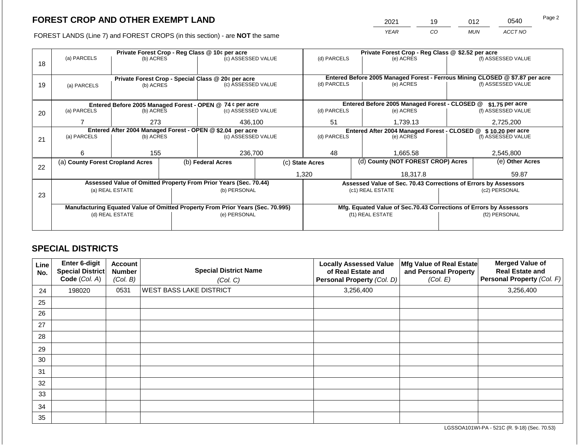2021 19 012 0540

FOREST LANDS (Line 7) and FOREST CROPS (in this section) - are **NOT** the same *YEAR CO MUN ACCT NO*

|    |                                                            |                                  | Private Forest Crop - Reg Class @ 10¢ per acre |                                                                                | Private Forest Crop - Reg Class @ \$2.52 per acre |             |                                                                              |                                                                    |               |                    |
|----|------------------------------------------------------------|----------------------------------|------------------------------------------------|--------------------------------------------------------------------------------|---------------------------------------------------|-------------|------------------------------------------------------------------------------|--------------------------------------------------------------------|---------------|--------------------|
|    | (a) PARCELS                                                | (b) ACRES                        |                                                | (c) ASSESSED VALUE                                                             |                                                   | (d) PARCELS |                                                                              | (e) ACRES                                                          |               | (f) ASSESSED VALUE |
| 18 |                                                            |                                  |                                                |                                                                                |                                                   |             |                                                                              |                                                                    |               |                    |
|    |                                                            |                                  |                                                |                                                                                |                                                   |             |                                                                              |                                                                    |               |                    |
|    |                                                            |                                  |                                                | Private Forest Crop - Special Class @ 20¢ per acre                             |                                                   |             | Entered Before 2005 Managed Forest - Ferrous Mining CLOSED @ \$7.87 per acre |                                                                    |               |                    |
| 19 | (a) PARCELS                                                | (b) ACRES                        |                                                | (c) ASSESSED VALUE                                                             |                                                   | (d) PARCELS |                                                                              | (e) ACRES                                                          |               | (f) ASSESSED VALUE |
|    |                                                            |                                  |                                                |                                                                                |                                                   |             |                                                                              |                                                                    |               |                    |
|    | Entered Before 2005 Managed Forest - OPEN @ 74 ¢ per acre  |                                  |                                                |                                                                                |                                                   |             |                                                                              | Entered Before 2005 Managed Forest - CLOSED @                      |               | \$1.75 per acre    |
| 20 | (a) PARCELS                                                | (b) ACRES                        |                                                | (c) ASSESSED VALUE                                                             |                                                   | (d) PARCELS |                                                                              | (e) ACRES                                                          |               | (f) ASSESSED VALUE |
|    |                                                            |                                  |                                                |                                                                                |                                                   |             |                                                                              |                                                                    |               |                    |
|    |                                                            | 273                              |                                                | 436,100                                                                        |                                                   | 51          |                                                                              | 1,739.13                                                           |               | 2,725,200          |
|    | Entered After 2004 Managed Forest - OPEN @ \$2.04 per acre |                                  |                                                |                                                                                |                                                   |             |                                                                              | Entered After 2004 Managed Forest - CLOSED @                       |               | \$10.20 per acre   |
| 21 | (a) PARCELS                                                | (b) ACRES                        |                                                | (c) ASSESSED VALUE                                                             |                                                   | (d) PARCELS |                                                                              | (e) ACRES                                                          |               | (f) ASSESSED VALUE |
|    |                                                            |                                  |                                                |                                                                                |                                                   |             |                                                                              |                                                                    |               |                    |
|    | 6                                                          | 155                              |                                                | 236,700                                                                        |                                                   | 48          |                                                                              | 1.665.58                                                           |               | 2,545,800          |
|    |                                                            | (a) County Forest Cropland Acres |                                                | (b) Federal Acres                                                              | (c) State Acres                                   |             |                                                                              | (d) County (NOT FOREST CROP) Acres                                 |               | (e) Other Acres    |
| 22 |                                                            |                                  |                                                |                                                                                |                                                   |             |                                                                              |                                                                    |               |                    |
|    |                                                            |                                  |                                                |                                                                                |                                                   | 1,320       |                                                                              | 18.317.8                                                           |               | 59.87              |
|    |                                                            |                                  |                                                | Assessed Value of Omitted Property From Prior Years (Sec. 70.44)               |                                                   |             |                                                                              | Assessed Value of Sec. 70.43 Corrections of Errors by Assessors    |               |                    |
|    |                                                            | (a) REAL ESTATE                  |                                                | (b) PERSONAL                                                                   |                                                   |             |                                                                              | (c1) REAL ESTATE                                                   |               | (c2) PERSONAL      |
| 23 |                                                            |                                  |                                                |                                                                                |                                                   |             |                                                                              |                                                                    |               |                    |
|    |                                                            |                                  |                                                | Manufacturing Equated Value of Omitted Property From Prior Years (Sec. 70.995) |                                                   |             |                                                                              | Mfg. Equated Value of Sec.70.43 Corrections of Errors by Assessors |               |                    |
|    |                                                            | (d) REAL ESTATE                  |                                                | (e) PERSONAL                                                                   |                                                   |             |                                                                              | (f1) REAL ESTATE                                                   | (f2) PERSONAL |                    |
|    |                                                            |                                  |                                                |                                                                                |                                                   |             |                                                                              |                                                                    |               |                    |
|    |                                                            |                                  |                                                |                                                                                |                                                   |             |                                                                              |                                                                    |               |                    |

# **SPECIAL DISTRICTS**

| Line<br>No. | <b>Enter 6-digit</b><br>Special District<br>Code (Col. A) | <b>Account</b><br><b>Number</b><br>(Col. B) | <b>Special District Name</b><br>(Col. C) | <b>Locally Assessed Value</b><br>of Real Estate and<br>Personal Property (Col. D) | Mfg Value of Real Estate<br>and Personal Property<br>(Col. E) | <b>Merged Value of</b><br><b>Real Estate and</b><br>Personal Property (Col. F) |
|-------------|-----------------------------------------------------------|---------------------------------------------|------------------------------------------|-----------------------------------------------------------------------------------|---------------------------------------------------------------|--------------------------------------------------------------------------------|
| 24          | 198020                                                    | 0531                                        | <b>WEST BASS LAKE DISTRICT</b>           | 3,256,400                                                                         |                                                               | 3,256,400                                                                      |
| 25          |                                                           |                                             |                                          |                                                                                   |                                                               |                                                                                |
| 26          |                                                           |                                             |                                          |                                                                                   |                                                               |                                                                                |
| 27          |                                                           |                                             |                                          |                                                                                   |                                                               |                                                                                |
| 28          |                                                           |                                             |                                          |                                                                                   |                                                               |                                                                                |
| 29          |                                                           |                                             |                                          |                                                                                   |                                                               |                                                                                |
| 30          |                                                           |                                             |                                          |                                                                                   |                                                               |                                                                                |
| 31          |                                                           |                                             |                                          |                                                                                   |                                                               |                                                                                |
| 32          |                                                           |                                             |                                          |                                                                                   |                                                               |                                                                                |
| 33          |                                                           |                                             |                                          |                                                                                   |                                                               |                                                                                |
| 34          |                                                           |                                             |                                          |                                                                                   |                                                               |                                                                                |
| 35          |                                                           |                                             |                                          |                                                                                   |                                                               |                                                                                |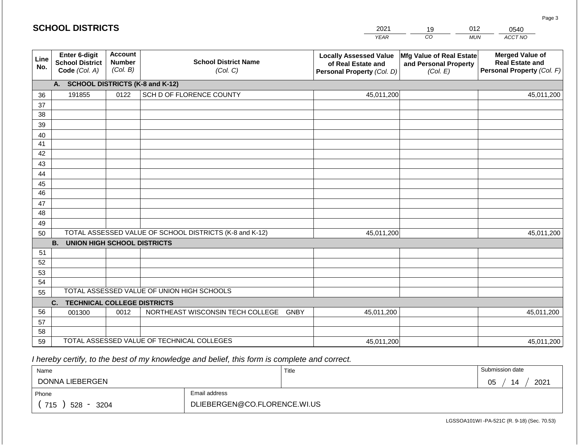#### *YEAR*   $\overline{co}$ *MUN ACCT NO*  0540 **Line No. Enter 6-digit School District Code** *(Col. A)* **Account Number** *(Col. B)* **School District Name** *(Col. C)* **Locally Assessed Value of Real Estate and Personal Property** *(Col. D)* **Mfg Value of Real Estate and Personal Property** *(Col. E)* **Merged Value of Real Estate and Personal Property** *(Col. F)* **A. SCHOOL DISTRICTS (K-8 and K-12)** 36 37 38 39 40 41 42 43 44 45 46 47 48 49 50 TOTAL ASSESSED VALUE OF SCHOOL DISTRICTS (K-8 and K-12) **B. UNION HIGH SCHOOL DISTRICTS** 51 52 53 54 55 **C. TECHNICAL COLLEGE DISTRICTS** 56 57 58 59 TOTAL ASSESSED VALUE OF TECHNICAL COLLEGES TOTAL ASSESSED VALUE OF UNION HIGH SCHOOLS 191855 0122 SCH D OF FLORENCE COUNTY 45,011,200 45,011,200 001300 | 0012 | NORTHEAST WISCONSIN TECH COLLEGE GNBY 45,011,200 45,011,200 45,011,200 45,011,200 45,011,200 45,011,200

 *I hereby certify, to the best of my knowledge and belief, this form is complete and correct.*

| Name               |                              | Title | Submission date  |
|--------------------|------------------------------|-------|------------------|
| DONNA LIEBERGEN    |                              |       | 2021<br>05<br>14 |
| Phone              | Email address                |       |                  |
| 715<br>528<br>3204 | DLIEBERGEN@CO.FLORENCE.WI.US |       |                  |

LGSSOA101WI -PA-521C (R. 9-18) (Sec. 70.53)

Page 3

| <b>SCHOOL DISTRICTS</b> |  |
|-------------------------|--|
|-------------------------|--|

2021 19 012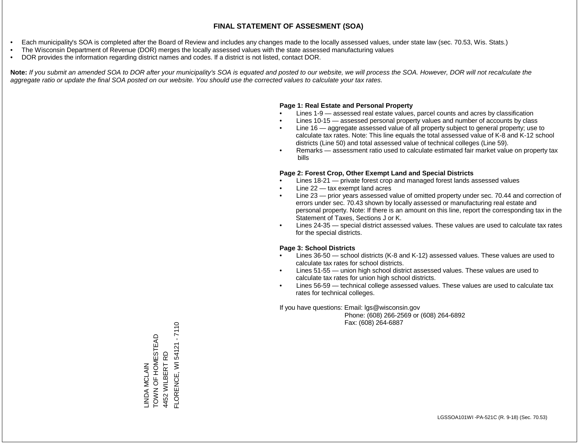- Each municipality's SOA is completed after the Board of Review and includes any changes made to the locally assessed values, under state law (sec. 70.53, Wis. Stats.)
- The Wisconsin Department of Revenue (DOR) merges the locally assessed values with the state assessed manufacturing values
- DOR provides the information regarding district names and codes. If a district is not listed, contact DOR.

Note: If you submit an amended SOA to DOR after your municipality's SOA is equated and posted to our website, we will process the SOA. However, DOR will not recalculate the *aggregate ratio or update the final SOA posted on our website. You should use the corrected values to calculate your tax rates.*

#### **Page 1: Real Estate and Personal Property**

- Lines 1-9 assessed real estate values, parcel counts and acres by classification
- Lines 10-15 assessed personal property values and number of accounts by class
- Line 16 aggregate assessed value of all property subject to general property; use to calculate tax rates. Note: This line equals the total assessed value of K-8 and K-12 school districts (Line 50) and total assessed value of technical colleges (Line 59).
- Remarks assessment ratio used to calculate estimated fair market value on property tax bills

#### **Page 2: Forest Crop, Other Exempt Land and Special Districts**

- Lines 18-21 private forest crop and managed forest lands assessed values
- Line  $22 -$  tax exempt land acres
- Line 23 prior years assessed value of omitted property under sec. 70.44 and correction of errors under sec. 70.43 shown by locally assessed or manufacturing real estate and personal property. Note: If there is an amount on this line, report the corresponding tax in the Statement of Taxes, Sections J or K.
- Lines 24-35 special district assessed values. These values are used to calculate tax rates for the special districts.

#### **Page 3: School Districts**

- Lines 36-50 school districts (K-8 and K-12) assessed values. These values are used to calculate tax rates for school districts.
- Lines 51-55 union high school district assessed values. These values are used to calculate tax rates for union high school districts.
- Lines 56-59 technical college assessed values. These values are used to calculate tax rates for technical colleges.

If you have questions: Email: lgs@wisconsin.gov

 Phone: (608) 266-2569 or (608) 264-6892 Fax: (608) 264-6887

FLORENCE, WI 54121 - 7110 FLORENCE, WI 54121 - 7110LINDA MCLAIN<br>TOWN OF HOMESTEAD TOWN OF HOMESTEAD 4452 WILBERT RD 4452 WILBERT RD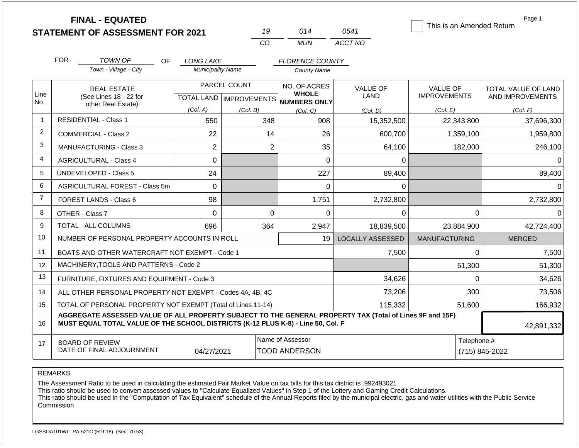|                | <b>FINAL - EQUATED</b>                                                                                                                                                                       |                               | 19                        | 014                          | 0541                    | This is an Amended Return | Page 1              |
|----------------|----------------------------------------------------------------------------------------------------------------------------------------------------------------------------------------------|-------------------------------|---------------------------|------------------------------|-------------------------|---------------------------|---------------------|
|                | <b>STATEMENT OF ASSESSMENT FOR 2021</b>                                                                                                                                                      |                               | CO                        | <b>MUN</b>                   | ACCT NO                 |                           |                     |
|                |                                                                                                                                                                                              |                               |                           |                              |                         |                           |                     |
|                | <b>FOR</b><br><b>TOWN OF</b><br>OF.                                                                                                                                                          | <b>LONG LAKE</b>              |                           | <b>FLORENCE COUNTY</b>       |                         |                           |                     |
|                | Town - Village - City                                                                                                                                                                        | <b>Municipality Name</b>      |                           | <b>County Name</b>           |                         |                           |                     |
|                | PARCEL COUNT<br><b>REAL ESTATE</b>                                                                                                                                                           |                               |                           | NO. OF ACRES                 | <b>VALUE OF</b>         | <b>VALUE OF</b>           | TOTAL VALUE OF LAND |
| Line<br>No.    | (See Lines 18 - 22 for<br>other Real Estate)                                                                                                                                                 |                               | TOTAL LAND   IMPROVEMENTS | <b>WHOLE</b><br>NUMBERS ONLY | <b>LAND</b>             | <b>IMPROVEMENTS</b>       | AND IMPROVEMENTS    |
|                |                                                                                                                                                                                              | (Col. A)                      | (Col. B)                  | (Col, C)                     | (Col. D)                | (Col. E)                  | (Col. F)            |
| $\overline{1}$ | <b>RESIDENTIAL - Class 1</b>                                                                                                                                                                 | 550                           | 348                       | 908                          | 15,352,500              | 22,343,800                | 37,696,300          |
| $\overline{2}$ | <b>COMMERCIAL - Class 2</b>                                                                                                                                                                  | 22                            | 14                        | 26                           | 600,700                 | 1,359,100                 | 1,959,800           |
| 3              | <b>MANUFACTURING - Class 3</b>                                                                                                                                                               | $\overline{2}$                | 2                         | 35                           | 64,100                  | 182,000                   | 246,100             |
| 4              | <b>AGRICULTURAL - Class 4</b>                                                                                                                                                                | 0                             |                           | 0                            | $\Omega$                |                           | $\Omega$            |
| 5              | UNDEVELOPED - Class 5                                                                                                                                                                        | 24                            |                           | 227                          | 89,400                  |                           | 89,400              |
| 6              | AGRICULTURAL FOREST - Class 5m                                                                                                                                                               | $\mathbf 0$                   |                           | 0                            | 0                       |                           | $\Omega$            |
| $\overline{7}$ | <b>FOREST LANDS - Class 6</b>                                                                                                                                                                | 98                            |                           | 1,751                        | 2,732,800               |                           | 2,732,800           |
| 8              | OTHER - Class 7                                                                                                                                                                              | $\Omega$                      | $\Omega$                  | 0                            | 0                       | $\Omega$                  | $\Omega$            |
| 9              | <b>TOTAL - ALL COLUMNS</b>                                                                                                                                                                   | 696                           | 364                       | 2,947                        | 18,839,500              | 23,884,900                | 42,724,400          |
| 10             | NUMBER OF PERSONAL PROPERTY ACCOUNTS IN ROLL                                                                                                                                                 |                               |                           | 19                           | <b>LOCALLY ASSESSED</b> | <b>MANUFACTURING</b>      | <b>MERGED</b>       |
| 11             | BOATS AND OTHER WATERCRAFT NOT EXEMPT - Code 1                                                                                                                                               |                               |                           |                              | 7,500                   | 0                         | 7,500               |
| 12             | MACHINERY, TOOLS AND PATTERNS - Code 2                                                                                                                                                       |                               |                           |                              |                         | 51,300                    | 51,300              |
| 13             | FURNITURE, FIXTURES AND EQUIPMENT - Code 3                                                                                                                                                   |                               |                           |                              | 34,626                  | $\Omega$                  | 34,626              |
| 14             | ALL OTHER PERSONAL PROPERTY NOT EXEMPT - Codes 4A, 4B, 4C                                                                                                                                    |                               |                           |                              | 73,206                  | 300                       | 73,506              |
| 15             | TOTAL OF PERSONAL PROPERTY NOT EXEMPT (Total of Lines 11-14)                                                                                                                                 |                               |                           |                              | 115,332                 | 51,600                    | 166,932             |
| 16             | AGGREGATE ASSESSED VALUE OF ALL PROPERTY SUBJECT TO THE GENERAL PROPERTY TAX (Total of Lines 9F and 15F)<br>MUST EQUAL TOTAL VALUE OF THE SCHOOL DISTRICTS (K-12 PLUS K-8) - Line 50, Col. F |                               |                           |                              |                         |                           | 42,891,332          |
| 17             | <b>BOARD OF REVIEW</b><br>DATE OF FINAL ADJOURNMENT                                                                                                                                          | Telephone #<br>(715) 845-2022 |                           |                              |                         |                           |                     |

The Assessment Ratio to be used in calculating the estimated Fair Market Value on tax bills for this tax district is .992493021

This ratio should be used to convert assessed values to "Calculate Equalized Values" in Step 1 of the Lottery and Gaming Credit Calculations.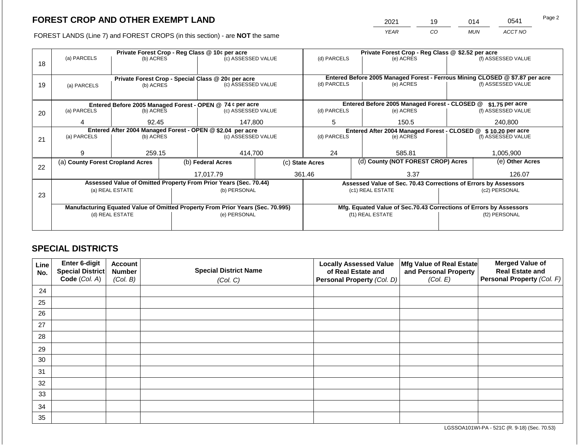2021 19 014 0541

FOREST LANDS (Line 7) and FOREST CROPS (in this section) - are **NOT** the same *YEAR CO MUN ACCT NO*

|    |                                                            |                  | Private Forest Crop - Reg Class @ 10¢ per acre |                                                                                | Private Forest Crop - Reg Class @ \$2.52 per acre |                                                               |       |                                                                              |                 |                    |
|----|------------------------------------------------------------|------------------|------------------------------------------------|--------------------------------------------------------------------------------|---------------------------------------------------|---------------------------------------------------------------|-------|------------------------------------------------------------------------------|-----------------|--------------------|
| 18 | (a) PARCELS                                                | (b) ACRES        |                                                | (c) ASSESSED VALUE                                                             |                                                   | (d) PARCELS                                                   |       | (e) ACRES                                                                    |                 | (f) ASSESSED VALUE |
|    |                                                            |                  |                                                |                                                                                |                                                   |                                                               |       |                                                                              |                 |                    |
|    |                                                            |                  |                                                | Private Forest Crop - Special Class @ 20¢ per acre                             |                                                   |                                                               |       | Entered Before 2005 Managed Forest - Ferrous Mining CLOSED @ \$7.87 per acre |                 |                    |
| 19 | (a) PARCELS                                                | (b) ACRES        |                                                | (c) ASSESSED VALUE                                                             |                                                   | (d) PARCELS                                                   |       | (e) ACRES                                                                    |                 | (f) ASSESSED VALUE |
|    |                                                            |                  |                                                |                                                                                |                                                   |                                                               |       |                                                                              |                 |                    |
|    |                                                            |                  |                                                |                                                                                |                                                   |                                                               |       |                                                                              |                 |                    |
|    | Entered Before 2005 Managed Forest - OPEN @ 74 ¢ per acre  |                  |                                                |                                                                                |                                                   |                                                               |       | Entered Before 2005 Managed Forest - CLOSED @                                |                 | \$1.75 per acre    |
| 20 | (a) PARCELS                                                | (b) ACRES        |                                                | (c) ASSESSED VALUE                                                             |                                                   | (d) PARCELS                                                   |       | (e) ACRES                                                                    |                 | (f) ASSESSED VALUE |
|    | 4                                                          | 147,800<br>92.45 |                                                |                                                                                | 5                                                 |                                                               | 150.5 |                                                                              | 240,800         |                    |
|    | Entered After 2004 Managed Forest - OPEN @ \$2.04 per acre |                  |                                                |                                                                                |                                                   | Entered After 2004 Managed Forest - CLOSED @ \$10.20 per acre |       |                                                                              |                 |                    |
| 21 | (a) PARCELS                                                | (b) ACRES        |                                                | (c) ASSESSED VALUE                                                             |                                                   | (d) PARCELS<br>(e) ACRES                                      |       | (f) ASSESSED VALUE                                                           |                 |                    |
|    |                                                            |                  |                                                |                                                                                |                                                   |                                                               |       |                                                                              |                 |                    |
|    | 9                                                          | 259.15           |                                                | 414,700                                                                        |                                                   | 24                                                            |       | 585.81                                                                       |                 | 1,005,900          |
|    | (a) County Forest Cropland Acres                           |                  |                                                | (b) Federal Acres                                                              |                                                   | (d) County (NOT FOREST CROP) Acres<br>(c) State Acres         |       |                                                                              | (e) Other Acres |                    |
| 22 |                                                            |                  |                                                |                                                                                |                                                   |                                                               |       |                                                                              |                 |                    |
|    |                                                            |                  |                                                | 17.017.79                                                                      |                                                   | 361.46                                                        |       | 3.37                                                                         |                 | 126.07             |
|    |                                                            |                  |                                                | Assessed Value of Omitted Property From Prior Years (Sec. 70.44)               |                                                   |                                                               |       | Assessed Value of Sec. 70.43 Corrections of Errors by Assessors              |                 |                    |
| 23 |                                                            | (a) REAL ESTATE  |                                                | (b) PERSONAL                                                                   |                                                   |                                                               |       | (c1) REAL ESTATE                                                             |                 | (c2) PERSONAL      |
|    |                                                            |                  |                                                |                                                                                |                                                   |                                                               |       |                                                                              |                 |                    |
|    |                                                            |                  |                                                | Manufacturing Equated Value of Omitted Property From Prior Years (Sec. 70.995) |                                                   |                                                               |       | Mfg. Equated Value of Sec.70.43 Corrections of Errors by Assessors           |                 |                    |
|    |                                                            | (d) REAL ESTATE  |                                                | (e) PERSONAL                                                                   |                                                   | (f1) REAL ESTATE                                              |       |                                                                              | (f2) PERSONAL   |                    |
|    |                                                            |                  |                                                |                                                                                |                                                   |                                                               |       |                                                                              |                 |                    |
|    |                                                            |                  |                                                |                                                                                |                                                   |                                                               |       |                                                                              |                 |                    |

# **SPECIAL DISTRICTS**

| Line<br>No. | Enter 6-digit<br><b>Special District</b><br>Code (Col. A) | <b>Account</b><br><b>Number</b><br>(Col. B) | <b>Special District Name</b><br>(Col. C) | <b>Locally Assessed Value</b><br>of Real Estate and<br>Personal Property (Col. D) | Mfg Value of Real Estate<br>and Personal Property<br>(Col. E) | <b>Merged Value of</b><br><b>Real Estate and</b><br>Personal Property (Col. F) |
|-------------|-----------------------------------------------------------|---------------------------------------------|------------------------------------------|-----------------------------------------------------------------------------------|---------------------------------------------------------------|--------------------------------------------------------------------------------|
| 24          |                                                           |                                             |                                          |                                                                                   |                                                               |                                                                                |
|             |                                                           |                                             |                                          |                                                                                   |                                                               |                                                                                |
| 25          |                                                           |                                             |                                          |                                                                                   |                                                               |                                                                                |
| 26          |                                                           |                                             |                                          |                                                                                   |                                                               |                                                                                |
| 27          |                                                           |                                             |                                          |                                                                                   |                                                               |                                                                                |
| 28          |                                                           |                                             |                                          |                                                                                   |                                                               |                                                                                |
| 29          |                                                           |                                             |                                          |                                                                                   |                                                               |                                                                                |
| 30          |                                                           |                                             |                                          |                                                                                   |                                                               |                                                                                |
| 31          |                                                           |                                             |                                          |                                                                                   |                                                               |                                                                                |
| 32          |                                                           |                                             |                                          |                                                                                   |                                                               |                                                                                |
| 33          |                                                           |                                             |                                          |                                                                                   |                                                               |                                                                                |
| 34          |                                                           |                                             |                                          |                                                                                   |                                                               |                                                                                |
| 35          |                                                           |                                             |                                          |                                                                                   |                                                               |                                                                                |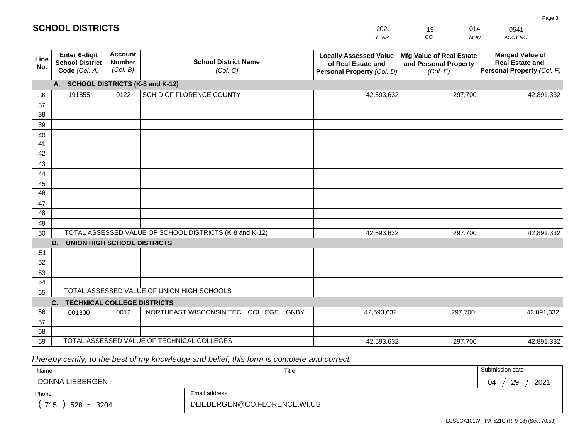|             | <b>SCHOOL DISTRICTS</b>                                  |                                             |                                                         | 2021                                                                              | 014<br>19                                                     | 0541                                                                           |  |
|-------------|----------------------------------------------------------|---------------------------------------------|---------------------------------------------------------|-----------------------------------------------------------------------------------|---------------------------------------------------------------|--------------------------------------------------------------------------------|--|
|             |                                                          |                                             |                                                         | <b>YEAR</b>                                                                       | CO<br><b>MUN</b>                                              | ACCT NO                                                                        |  |
| Line<br>No. | Enter 6-digit<br><b>School District</b><br>Code (Col. A) | <b>Account</b><br><b>Number</b><br>(Col. B) | <b>School District Name</b><br>(Col. C)                 | <b>Locally Assessed Value</b><br>of Real Estate and<br>Personal Property (Col. D) | Mfg Value of Real Estate<br>and Personal Property<br>(Col. E) | <b>Merged Value of</b><br><b>Real Estate and</b><br>Personal Property (Col. F) |  |
|             | А.                                                       |                                             | <b>SCHOOL DISTRICTS (K-8 and K-12)</b>                  |                                                                                   |                                                               |                                                                                |  |
| 36          | 191855                                                   | 0122                                        | SCH D OF FLORENCE COUNTY                                | 42,593,632                                                                        | 297,700                                                       | 42,891,332                                                                     |  |
| 37          |                                                          |                                             |                                                         |                                                                                   |                                                               |                                                                                |  |
| 38          |                                                          |                                             |                                                         |                                                                                   |                                                               |                                                                                |  |
| 39          |                                                          |                                             |                                                         |                                                                                   |                                                               |                                                                                |  |
| 40          |                                                          |                                             |                                                         |                                                                                   |                                                               |                                                                                |  |
| 41          |                                                          |                                             |                                                         |                                                                                   |                                                               |                                                                                |  |
| 42<br>43    |                                                          |                                             |                                                         |                                                                                   |                                                               |                                                                                |  |
| 44          |                                                          |                                             |                                                         |                                                                                   |                                                               |                                                                                |  |
| 45          |                                                          |                                             |                                                         |                                                                                   |                                                               |                                                                                |  |
| 46          |                                                          |                                             |                                                         |                                                                                   |                                                               |                                                                                |  |
| 47          |                                                          |                                             |                                                         |                                                                                   |                                                               |                                                                                |  |
| 48          |                                                          |                                             |                                                         |                                                                                   |                                                               |                                                                                |  |
| 49          |                                                          |                                             |                                                         |                                                                                   |                                                               |                                                                                |  |
| 50          |                                                          |                                             | TOTAL ASSESSED VALUE OF SCHOOL DISTRICTS (K-8 and K-12) | 42,593,632                                                                        | 297,700                                                       | 42,891,332                                                                     |  |
|             | <b>B.</b><br><b>UNION HIGH SCHOOL DISTRICTS</b>          |                                             |                                                         |                                                                                   |                                                               |                                                                                |  |
| 51          |                                                          |                                             |                                                         |                                                                                   |                                                               |                                                                                |  |
| 52          |                                                          |                                             |                                                         |                                                                                   |                                                               |                                                                                |  |
| 53          |                                                          |                                             |                                                         |                                                                                   |                                                               |                                                                                |  |
| 54          |                                                          |                                             | TOTAL ASSESSED VALUE OF UNION HIGH SCHOOLS              |                                                                                   |                                                               |                                                                                |  |
| 55          |                                                          |                                             |                                                         |                                                                                   |                                                               |                                                                                |  |
| 56          | <b>TECHNICAL COLLEGE DISTRICTS</b><br>C.                 | 0012                                        | NORTHEAST WISCONSIN TECH COLLEGE GNBY                   | 42,593,632                                                                        | 297,700                                                       |                                                                                |  |
| 57          | 001300                                                   |                                             |                                                         |                                                                                   |                                                               | 42,891,332                                                                     |  |
| 58          |                                                          |                                             |                                                         |                                                                                   |                                                               |                                                                                |  |
| 59          |                                                          |                                             | TOTAL ASSESSED VALUE OF TECHNICAL COLLEGES              | 42,593,632                                                                        | 297,700                                                       | 42,891,332                                                                     |  |

 *I hereby certify, to the best of my knowledge and belief, this form is complete and correct.*

| Name                   |                              | Title | Submission date  |  |  |  |
|------------------------|------------------------------|-------|------------------|--|--|--|
| DONNA LIEBERGEN        |                              |       | 29<br>2021<br>04 |  |  |  |
| Email address<br>Phone |                              |       |                  |  |  |  |
| 715<br>528<br>3204     | DLIEBERGEN@CO.FLORENCE.WI.US |       |                  |  |  |  |

LGSSOA101WI -PA-521C (R. 9-18) (Sec. 70.53)

Page 3

| <b>SCHOOL DISTRICTS</b> |  |  |  |  |  |  |  |  |
|-------------------------|--|--|--|--|--|--|--|--|
|-------------------------|--|--|--|--|--|--|--|--|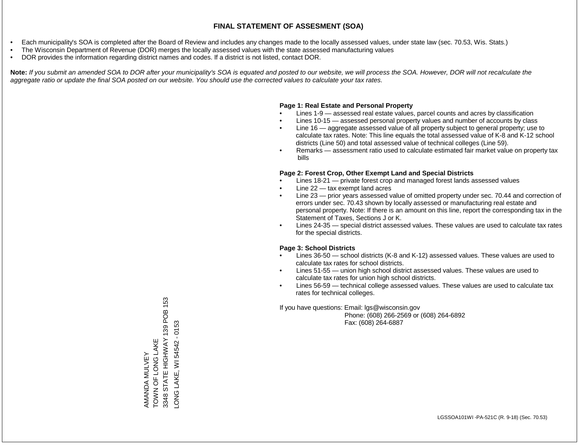- Each municipality's SOA is completed after the Board of Review and includes any changes made to the locally assessed values, under state law (sec. 70.53, Wis. Stats.)
- The Wisconsin Department of Revenue (DOR) merges the locally assessed values with the state assessed manufacturing values
- DOR provides the information regarding district names and codes. If a district is not listed, contact DOR.

Note: If you submit an amended SOA to DOR after your municipality's SOA is equated and posted to our website, we will process the SOA. However, DOR will not recalculate the *aggregate ratio or update the final SOA posted on our website. You should use the corrected values to calculate your tax rates.*

### **Page 1: Real Estate and Personal Property**

- Lines 1-9 assessed real estate values, parcel counts and acres by classification
- Lines 10-15 assessed personal property values and number of accounts by class
- Line 16 aggregate assessed value of all property subject to general property; use to calculate tax rates. Note: This line equals the total assessed value of K-8 and K-12 school districts (Line 50) and total assessed value of technical colleges (Line 59).
- Remarks assessment ratio used to calculate estimated fair market value on property tax bills

### **Page 2: Forest Crop, Other Exempt Land and Special Districts**

- Lines 18-21 private forest crop and managed forest lands assessed values
- Line  $22 -$  tax exempt land acres
- Line 23 prior years assessed value of omitted property under sec. 70.44 and correction of errors under sec. 70.43 shown by locally assessed or manufacturing real estate and personal property. Note: If there is an amount on this line, report the corresponding tax in the Statement of Taxes, Sections J or K.
- Lines 24-35 special district assessed values. These values are used to calculate tax rates for the special districts.

### **Page 3: School Districts**

- Lines 36-50 school districts (K-8 and K-12) assessed values. These values are used to calculate tax rates for school districts.
- Lines 51-55 union high school district assessed values. These values are used to calculate tax rates for union high school districts.
- Lines 56-59 technical college assessed values. These values are used to calculate tax rates for technical colleges.

If you have questions: Email: lgs@wisconsin.gov

 Phone: (608) 266-2569 or (608) 264-6892 Fax: (608) 264-6887

STATE HIGHWAY 139 POB 153 3348 STATE HIGHWAY 139 POB 153 ONG LAKE, WI 54542 - 0153 LONG LAKE, WI 54542 - 0153AMANDA MULVEY<br>TOWN OF LONG LAKE<br>3348 STATE HIGHWAY 1 TOWN OF LONG LAKE AMANDA MULVEY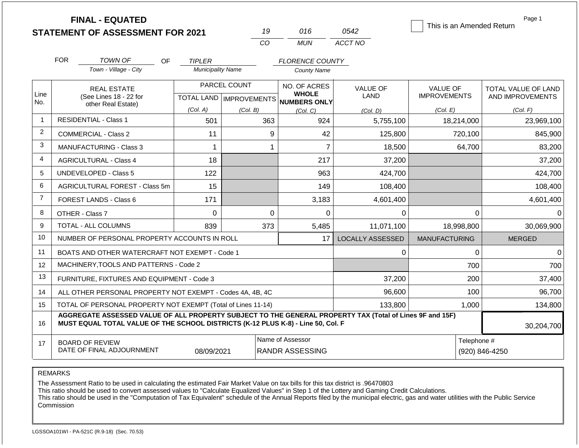| <b>FINAL - EQUATED</b><br>This is an Amended Return |                                                                                                                                                                                                            |                          |                           |                              |                               |                      |                     |  |
|-----------------------------------------------------|------------------------------------------------------------------------------------------------------------------------------------------------------------------------------------------------------------|--------------------------|---------------------------|------------------------------|-------------------------------|----------------------|---------------------|--|
|                                                     | <b>STATEMENT OF ASSESSMENT FOR 2021</b>                                                                                                                                                                    |                          | 19                        | 016                          | 0542                          |                      |                     |  |
|                                                     |                                                                                                                                                                                                            |                          | CO                        | <b>MUN</b>                   | ACCT NO                       |                      |                     |  |
|                                                     | <b>FOR</b><br>TOWN OF<br><b>OF</b>                                                                                                                                                                         | <b>TIPLER</b>            |                           | <b>FLORENCE COUNTY</b>       |                               |                      |                     |  |
|                                                     | Town - Village - City                                                                                                                                                                                      | <b>Municipality Name</b> |                           | <b>County Name</b>           |                               |                      |                     |  |
|                                                     | <b>REAL ESTATE</b>                                                                                                                                                                                         |                          | PARCEL COUNT              | NO. OF ACRES                 | <b>VALUE OF</b>               | <b>VALUE OF</b>      | TOTAL VALUE OF LAND |  |
| Line<br>No.                                         | (See Lines 18 - 22 for                                                                                                                                                                                     |                          | TOTAL LAND   IMPROVEMENTS | <b>WHOLE</b><br>NUMBERS ONLY | <b>LAND</b>                   | <b>IMPROVEMENTS</b>  | AND IMPROVEMENTS    |  |
|                                                     | other Real Estate)                                                                                                                                                                                         | (Col. A)                 | (Col. B)                  | (Col, C)                     | (Col. D)                      | (Col. E)             | (Col. F)            |  |
| $\overline{1}$                                      | <b>RESIDENTIAL - Class 1</b>                                                                                                                                                                               | 501                      | 363                       | 924                          | 5,755,100                     | 18,214,000           | 23,969,100          |  |
| 2                                                   | <b>COMMERCIAL - Class 2</b>                                                                                                                                                                                | 11                       | 9                         | 42                           | 125,800                       | 720,100              | 845,900             |  |
| 3                                                   | MANUFACTURING - Class 3                                                                                                                                                                                    | $\mathbf 1$              | $\overline{1}$            | $\overline{7}$               | 18,500                        | 64,700               | 83,200              |  |
| $\overline{4}$                                      | <b>AGRICULTURAL - Class 4</b>                                                                                                                                                                              | 18                       |                           | 217                          | 37,200                        |                      | 37,200              |  |
| 5                                                   | UNDEVELOPED - Class 5                                                                                                                                                                                      | 122                      |                           | 963                          | 424,700                       |                      | 424,700             |  |
| 6                                                   | AGRICULTURAL FOREST - Class 5m                                                                                                                                                                             | 15                       |                           | 149                          | 108,400                       |                      | 108,400             |  |
| $\overline{7}$                                      | FOREST LANDS - Class 6                                                                                                                                                                                     | 171                      |                           | 3,183                        | 4,601,400                     |                      | 4,601,400           |  |
| 8                                                   | OTHER - Class 7                                                                                                                                                                                            | $\overline{0}$           | $\overline{0}$            | 0                            | 0                             | $\mathbf 0$          | $\Omega$            |  |
| 9                                                   | TOTAL - ALL COLUMNS                                                                                                                                                                                        | 839                      | 373                       | 5,485                        | 11,071,100                    | 18,998,800           | 30,069,900          |  |
| 10                                                  | NUMBER OF PERSONAL PROPERTY ACCOUNTS IN ROLL                                                                                                                                                               |                          |                           | 17                           | <b>LOCALLY ASSESSED</b>       | <b>MANUFACTURING</b> | <b>MERGED</b>       |  |
| 11                                                  | BOATS AND OTHER WATERCRAFT NOT EXEMPT - Code 1                                                                                                                                                             |                          |                           |                              | 0                             | 0                    | $\Omega$            |  |
| $12 \overline{ }$                                   | MACHINERY, TOOLS AND PATTERNS - Code 2                                                                                                                                                                     |                          |                           |                              |                               | 700                  | 700                 |  |
| 13                                                  | FURNITURE, FIXTURES AND EQUIPMENT - Code 3                                                                                                                                                                 |                          |                           | 37,200                       | 200                           | 37,400               |                     |  |
| 14                                                  | ALL OTHER PERSONAL PROPERTY NOT EXEMPT - Codes 4A, 4B, 4C                                                                                                                                                  |                          | 96,600                    | 100                          | 96,700                        |                      |                     |  |
| 15                                                  | TOTAL OF PERSONAL PROPERTY NOT EXEMPT (Total of Lines 11-14)                                                                                                                                               | 1,000                    | 134,800                   |                              |                               |                      |                     |  |
| 16                                                  | AGGREGATE ASSESSED VALUE OF ALL PROPERTY SUBJECT TO THE GENERAL PROPERTY TAX (Total of Lines 9F and 15F)<br>MUST EQUAL TOTAL VALUE OF THE SCHOOL DISTRICTS (K-12 PLUS K-8) - Line 50, Col. F<br>30,204,700 |                          |                           |                              |                               |                      |                     |  |
|                                                     |                                                                                                                                                                                                            |                          |                           | Name of Assessor             |                               |                      |                     |  |
| 17                                                  | <b>BOARD OF REVIEW</b><br>DATE OF FINAL ADJOURNMENT                                                                                                                                                        | 08/09/2021               | <b>RANDR ASSESSING</b>    |                              | Telephone #<br>(920) 846-4250 |                      |                     |  |

The Assessment Ratio to be used in calculating the estimated Fair Market Value on tax bills for this tax district is .96470803

This ratio should be used to convert assessed values to "Calculate Equalized Values" in Step 1 of the Lottery and Gaming Credit Calculations.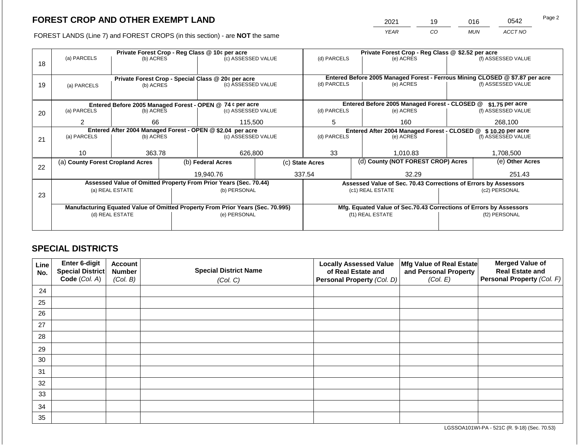2021 19 016 0542

FOREST LANDS (Line 7) and FOREST CROPS (in this section) - are **NOT** the same *YEAR CO MUN ACCT NO*

|    | Private Forest Crop - Reg Class @ 10¢ per acre     |                 |                                                                  |                                                                                |         |                                                                              | Private Forest Crop - Reg Class @ \$2.52 per acre               |                                                                    |                 |                    |  |
|----|----------------------------------------------------|-----------------|------------------------------------------------------------------|--------------------------------------------------------------------------------|---------|------------------------------------------------------------------------------|-----------------------------------------------------------------|--------------------------------------------------------------------|-----------------|--------------------|--|
| 18 | (a) PARCELS                                        | (b) ACRES       |                                                                  | (c) ASSESSED VALUE                                                             |         | (d) PARCELS                                                                  |                                                                 | (e) ACRES                                                          |                 | (f) ASSESSED VALUE |  |
|    | Private Forest Crop - Special Class @ 20¢ per acre |                 |                                                                  |                                                                                |         | Entered Before 2005 Managed Forest - Ferrous Mining CLOSED @ \$7.87 per acre |                                                                 |                                                                    |                 |                    |  |
| 19 | (a) PARCELS                                        | (b) ACRES       |                                                                  | (c) ASSESSED VALUE                                                             |         | (d) PARCELS                                                                  |                                                                 | (e) ACRES                                                          |                 | (f) ASSESSED VALUE |  |
|    |                                                    |                 |                                                                  |                                                                                |         |                                                                              |                                                                 |                                                                    |                 |                    |  |
|    |                                                    |                 |                                                                  | Entered Before 2005 Managed Forest - OPEN @ 74 ¢ per acre                      |         |                                                                              |                                                                 | Entered Before 2005 Managed Forest - CLOSED @                      |                 | $$1.75$ per acre   |  |
| 20 | (a) PARCELS                                        | (b) ACRES       |                                                                  | (c) ASSESSED VALUE                                                             |         | (d) PARCELS                                                                  |                                                                 | (e) ACRES                                                          |                 | (f) ASSESSED VALUE |  |
|    | 2                                                  | 66              |                                                                  |                                                                                | 115,500 |                                                                              |                                                                 | 160                                                                |                 | 268,100            |  |
|    |                                                    |                 | Entered After 2004 Managed Forest - OPEN @ \$2.04 per acre       |                                                                                |         |                                                                              | Entered After 2004 Managed Forest - CLOSED @ \$ 10.20 per acre  |                                                                    |                 |                    |  |
| 21 | (a) PARCELS                                        | (b) ACRES       |                                                                  | (c) ASSESSED VALUE                                                             |         | (d) PARCELS<br>(e) ACRES                                                     |                                                                 | (f) ASSESSED VALUE                                                 |                 |                    |  |
|    |                                                    |                 |                                                                  |                                                                                |         |                                                                              |                                                                 |                                                                    |                 |                    |  |
|    | 10                                                 | 363.78          |                                                                  | 626,800                                                                        |         | 33                                                                           |                                                                 | 1.010.83                                                           |                 | 1.708.500          |  |
| 22 | (a) County Forest Cropland Acres                   |                 |                                                                  | (b) Federal Acres                                                              |         | (d) County (NOT FOREST CROP) Acres<br>(c) State Acres                        |                                                                 |                                                                    | (e) Other Acres |                    |  |
|    |                                                    |                 |                                                                  | 19,940.76                                                                      |         | 337.54                                                                       | 32.29                                                           |                                                                    |                 | 251.43             |  |
|    |                                                    |                 | Assessed Value of Omitted Property From Prior Years (Sec. 70.44) |                                                                                |         |                                                                              | Assessed Value of Sec. 70.43 Corrections of Errors by Assessors |                                                                    |                 |                    |  |
| 23 | (a) REAL ESTATE                                    |                 |                                                                  | (b) PERSONAL                                                                   |         | (c1) REAL ESTATE                                                             |                                                                 | (c2) PERSONAL                                                      |                 |                    |  |
|    |                                                    |                 |                                                                  |                                                                                |         |                                                                              |                                                                 |                                                                    |                 |                    |  |
|    |                                                    |                 |                                                                  | Manufacturing Equated Value of Omitted Property From Prior Years (Sec. 70.995) |         |                                                                              |                                                                 | Mfg. Equated Value of Sec.70.43 Corrections of Errors by Assessors |                 |                    |  |
|    |                                                    | (d) REAL ESTATE |                                                                  | (e) PERSONAL                                                                   |         | (f1) REAL ESTATE                                                             |                                                                 |                                                                    | (f2) PERSONAL   |                    |  |
|    |                                                    |                 |                                                                  |                                                                                |         |                                                                              |                                                                 |                                                                    |                 |                    |  |
|    |                                                    |                 |                                                                  |                                                                                |         |                                                                              |                                                                 |                                                                    |                 |                    |  |

# **SPECIAL DISTRICTS**

| Line<br>No. | Enter 6-digit<br>Special District | <b>Account</b><br><b>Number</b> | <b>Special District Name</b> | <b>Locally Assessed Value</b><br>of Real Estate and | Mfg Value of Real Estate<br>and Personal Property | <b>Merged Value of</b><br><b>Real Estate and</b> |
|-------------|-----------------------------------|---------------------------------|------------------------------|-----------------------------------------------------|---------------------------------------------------|--------------------------------------------------|
|             | Code (Col. A)                     | (Col. B)                        | (Col. C)                     | Personal Property (Col. D)                          | (Col. E)                                          | Personal Property (Col. F)                       |
| 24          |                                   |                                 |                              |                                                     |                                                   |                                                  |
| 25          |                                   |                                 |                              |                                                     |                                                   |                                                  |
| 26          |                                   |                                 |                              |                                                     |                                                   |                                                  |
| 27          |                                   |                                 |                              |                                                     |                                                   |                                                  |
| 28          |                                   |                                 |                              |                                                     |                                                   |                                                  |
| 29          |                                   |                                 |                              |                                                     |                                                   |                                                  |
| 30          |                                   |                                 |                              |                                                     |                                                   |                                                  |
| 31          |                                   |                                 |                              |                                                     |                                                   |                                                  |
| 32          |                                   |                                 |                              |                                                     |                                                   |                                                  |
| 33          |                                   |                                 |                              |                                                     |                                                   |                                                  |
| 34          |                                   |                                 |                              |                                                     |                                                   |                                                  |
| 35          |                                   |                                 |                              |                                                     |                                                   |                                                  |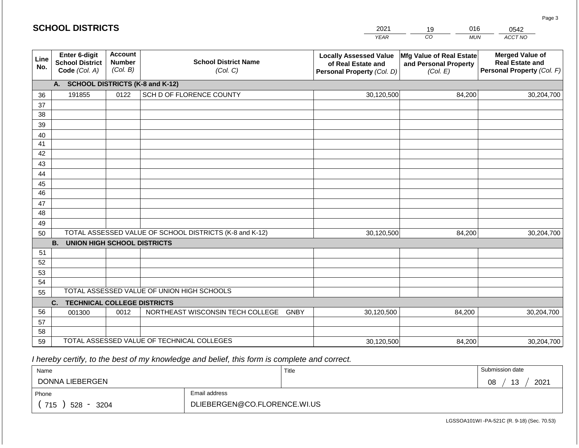|             | <b>SCHOOL DISTRICTS</b>                                         |                                             |                                                         | 2021                                                                              | 016<br>19                                                     | 0542                                                                           |
|-------------|-----------------------------------------------------------------|---------------------------------------------|---------------------------------------------------------|-----------------------------------------------------------------------------------|---------------------------------------------------------------|--------------------------------------------------------------------------------|
|             |                                                                 |                                             |                                                         | <b>YEAR</b>                                                                       | CO<br><b>MUN</b>                                              | ACCT NO                                                                        |
| Line<br>No. | <b>Enter 6-digit</b><br><b>School District</b><br>Code (Col. A) | <b>Account</b><br><b>Number</b><br>(Col. B) | <b>School District Name</b><br>(Col. C)                 | <b>Locally Assessed Value</b><br>of Real Estate and<br>Personal Property (Col. D) | Mfg Value of Real Estate<br>and Personal Property<br>(Col. E) | <b>Merged Value of</b><br><b>Real Estate and</b><br>Personal Property (Col. F) |
|             | А.                                                              |                                             | <b>SCHOOL DISTRICTS (K-8 and K-12)</b>                  |                                                                                   |                                                               |                                                                                |
| 36          | 191855                                                          | 0122                                        | SCH D OF FLORENCE COUNTY                                | 30,120,500                                                                        | 84,200                                                        | 30,204,700                                                                     |
| 37          |                                                                 |                                             |                                                         |                                                                                   |                                                               |                                                                                |
| 38          |                                                                 |                                             |                                                         |                                                                                   |                                                               |                                                                                |
| 39          |                                                                 |                                             |                                                         |                                                                                   |                                                               |                                                                                |
| 40          |                                                                 |                                             |                                                         |                                                                                   |                                                               |                                                                                |
| 41<br>42    |                                                                 |                                             |                                                         |                                                                                   |                                                               |                                                                                |
| 43          |                                                                 |                                             |                                                         |                                                                                   |                                                               |                                                                                |
| 44          |                                                                 |                                             |                                                         |                                                                                   |                                                               |                                                                                |
| 45          |                                                                 |                                             |                                                         |                                                                                   |                                                               |                                                                                |
| 46          |                                                                 |                                             |                                                         |                                                                                   |                                                               |                                                                                |
| 47          |                                                                 |                                             |                                                         |                                                                                   |                                                               |                                                                                |
| 48          |                                                                 |                                             |                                                         |                                                                                   |                                                               |                                                                                |
| 49          |                                                                 |                                             |                                                         |                                                                                   |                                                               |                                                                                |
| 50          |                                                                 |                                             | TOTAL ASSESSED VALUE OF SCHOOL DISTRICTS (K-8 and K-12) | 30,120,500                                                                        | 84,200                                                        | 30,204,700                                                                     |
|             | <b>B.</b><br><b>UNION HIGH SCHOOL DISTRICTS</b>                 |                                             |                                                         |                                                                                   |                                                               |                                                                                |
| 51          |                                                                 |                                             |                                                         |                                                                                   |                                                               |                                                                                |
| 52          |                                                                 |                                             |                                                         |                                                                                   |                                                               |                                                                                |
| 53          |                                                                 |                                             |                                                         |                                                                                   |                                                               |                                                                                |
| 54          |                                                                 |                                             | TOTAL ASSESSED VALUE OF UNION HIGH SCHOOLS              |                                                                                   |                                                               |                                                                                |
| 55          |                                                                 |                                             |                                                         |                                                                                   |                                                               |                                                                                |
|             | <b>TECHNICAL COLLEGE DISTRICTS</b><br>C.                        |                                             |                                                         |                                                                                   |                                                               |                                                                                |
| 56<br>57    | 001300                                                          | 0012                                        | NORTHEAST WISCONSIN TECH COLLEGE GNBY                   | 30,120,500                                                                        | 84,200                                                        | 30,204,700                                                                     |
| 58          |                                                                 |                                             |                                                         |                                                                                   |                                                               |                                                                                |
| 59          |                                                                 |                                             | TOTAL ASSESSED VALUE OF TECHNICAL COLLEGES              | 30,120,500                                                                        | 84,200                                                        | 30,204,700                                                                     |

 *I hereby certify, to the best of my knowledge and belief, this form is complete and correct.*

| Name                                           |                              | Title | Submission date         |  |  |  |
|------------------------------------------------|------------------------------|-------|-------------------------|--|--|--|
| DONNA LIEBERGEN                                |                              |       | 10<br>2021<br>08<br>ט ו |  |  |  |
| Email address<br>Phone                         |                              |       |                         |  |  |  |
| 715<br>528<br>3204<br>$\overline{\phantom{0}}$ | DLIEBERGEN@CO.FLORENCE.WI.US |       |                         |  |  |  |

Page 3